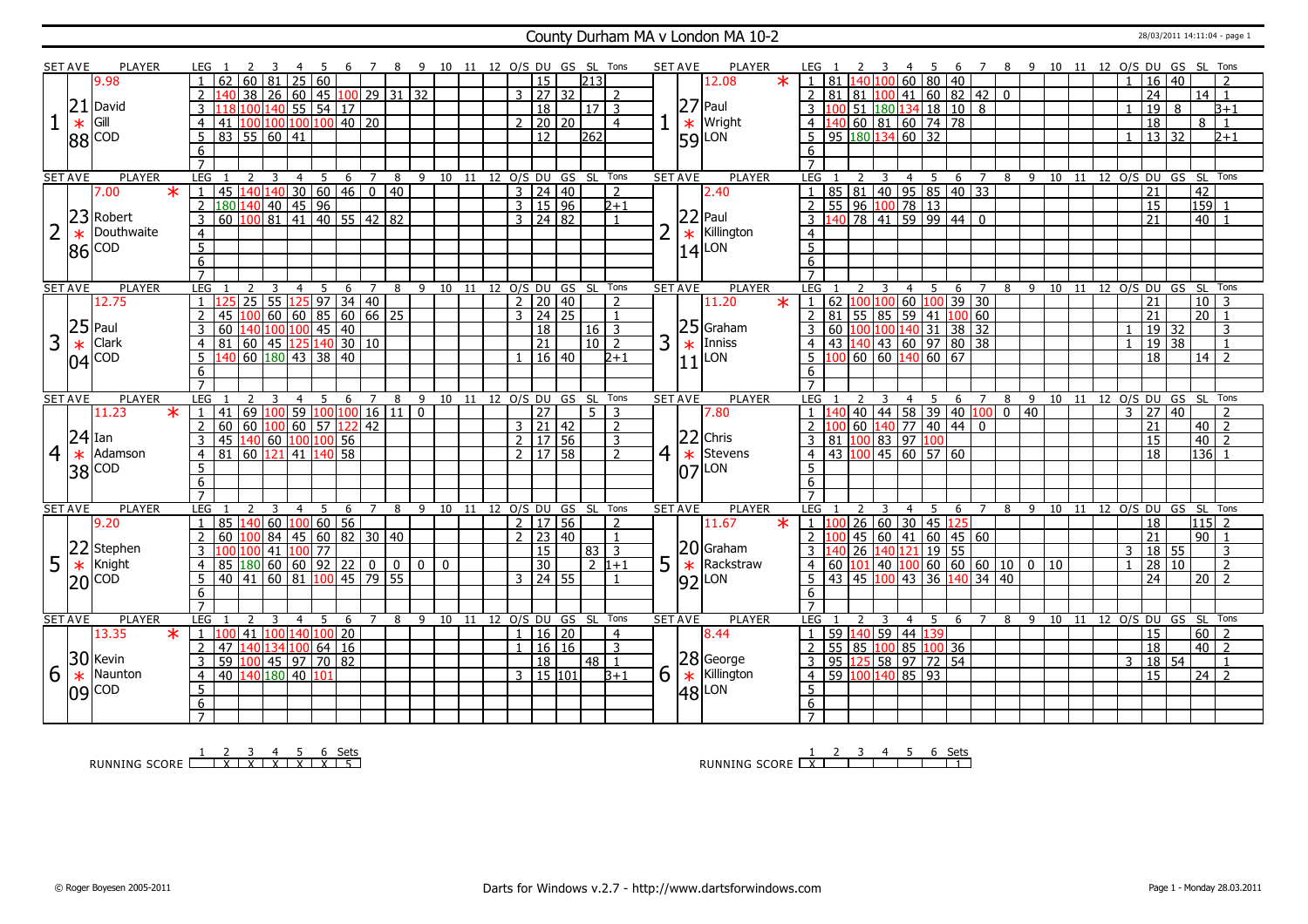### County Durham MA v London MA 10-2 28/03/2011 14:11:04 - page 1

|                | <b>SET AVE</b> | <b>PLAYER</b>             | LEG 1               |                                                                             |                |                |                                                       |                |             |     |   | $\overline{7}$ |                |                |               |    |    |              |                                    |       | 8 9 10 11 12 O/S DU GS SL Tons |                 |                | <b>SET AVE</b> |              | <b>PLAYER</b>                               |         | LEG 1               |    |                                                                                                |                |                | -4         |                | - 5              |                   | 6 7 8 9 10 11 12 O/S DU GS SL Tons                 |   |                 |                                |  |                |                      |    |                 |                 |                |  |
|----------------|----------------|---------------------------|---------------------|-----------------------------------------------------------------------------|----------------|----------------|-------------------------------------------------------|----------------|-------------|-----|---|----------------|----------------|----------------|---------------|----|----|--------------|------------------------------------|-------|--------------------------------|-----------------|----------------|----------------|--------------|---------------------------------------------|---------|---------------------|----|------------------------------------------------------------------------------------------------|----------------|----------------|------------|----------------|------------------|-------------------|----------------------------------------------------|---|-----------------|--------------------------------|--|----------------|----------------------|----|-----------------|-----------------|----------------|--|
|                |                | 9.98                      | $\mathbf{1}$        | 62                                                                          | 60 81          |                |                                                       |                | 25 60       |     |   |                |                |                |               |    |    |              | 15                                 |       |                                | 1213            |                |                |              | 12.08                                       | $\star$ |                     |    | 1 81 140 100                                                                                   |                |                |            |                |                  | $\sqrt{60}$ 80 40 |                                                    |   |                 |                                |  | $\overline{1}$ | 16                   | 40 |                 |                 |                |  |
|                |                |                           | $\overline{2}$      |                                                                             | 38             |                | 26 60 45 100 29 31 32                                 |                |             |     |   |                |                |                |               |    |    |              | $3 \mid 27 \mid 32$                |       |                                |                 | $\mathcal{L}$  |                |              |                                             |         | $\mathcal{P}$       | 81 |                                                                                                | 81 100         |                |            |                |                  |                   | $141$ 60 82 42 0                                   |   |                 |                                |  |                | $\overline{24}$      |    |                 | $14$   1        |                |  |
|                | 21             | David                     |                     |                                                                             |                |                |                                                       |                |             |     |   |                |                |                |               |    |    |              | $\overline{18}$                    |       |                                | 17 <sup>2</sup> |                |                |              | $ 27 $ Paul                                 |         |                     |    |                                                                                                |                |                |            |                |                  |                   |                                                    |   |                 |                                |  |                |                      |    |                 |                 |                |  |
|                |                |                           |                     |                                                                             |                |                | 100 140 55 54 17                                      |                |             |     |   |                |                |                |               |    |    |              |                                    |       |                                |                 |                |                |              |                                             |         |                     |    | ۱M                                                                                             |                |                |            |                |                  |                   | $\sqrt{51}$ 180 134 18 10 8                        |   |                 |                                |  | $\mathbf{1}$   | $\overline{19}$      | 8  |                 |                 | B+1            |  |
|                | $\ast$         | Gill                      | $\overline{4}$      | 41 100 100 100 100 40 20                                                    |                |                |                                                       |                |             |     |   |                |                |                |               |    |    |              | $2$ 20 20                          |       |                                |                 | $\overline{4}$ |                | $\ast$       | Wright                                      |         | $\overline{4}$      |    | 140 60 81 60 74 78                                                                             |                |                |            |                |                  |                   |                                                    |   |                 |                                |  |                | 18                   |    |                 | 8               | $\overline{1}$ |  |
|                |                | 88 COD                    | 5                   | 83   55   60   41                                                           |                |                |                                                       |                |             |     |   |                |                |                |               |    |    |              | 12                                 |       |                                | 262             |                |                |              | <b>59</b> LON                               |         | 5                   |    | 95 180 134 60 32                                                                               |                |                |            |                |                  |                   |                                                    |   |                 |                                |  |                | 13 32                |    |                 |                 | $2 + 1$        |  |
|                |                |                           | 6                   |                                                                             |                |                |                                                       |                |             |     |   |                |                |                |               |    |    |              |                                    |       |                                |                 |                |                |              |                                             |         | 6                   |    |                                                                                                |                |                |            |                |                  |                   |                                                    |   |                 |                                |  |                |                      |    |                 |                 |                |  |
|                |                |                           |                     |                                                                             |                |                |                                                       |                |             |     |   |                |                |                |               |    |    |              |                                    |       |                                |                 |                |                |              |                                             |         |                     |    |                                                                                                |                |                |            |                |                  |                   |                                                    |   |                 |                                |  |                |                      |    |                 |                 |                |  |
|                | <b>SET AVE</b> | <b>PLAYER</b>             | LEG                 |                                                                             |                | 3              | $\overline{4}$                                        |                |             | 5 6 |   | $\overline{7}$ | 8              |                | $9 \t10 \t11$ |    |    |              |                                    |       | 12 O/S DU GS SL Tons           |                 |                | <b>SET AVE</b> |              | <b>PLAYER</b>                               |         | LEG                 |    |                                                                                                |                | $\overline{3}$ |            |                | $4 \overline{5}$ |                   | 6 7                                                |   |                 | 8 9 10 11 12 0/S DU GS SL Tons |  |                |                      |    |                 |                 |                |  |
|                |                | $\overline{\ast}$<br>7.00 | 1                   | $145$   140   140   30   60   46   0   40                                   |                |                |                                                       |                |             |     |   |                |                |                |               |    |    |              | $3 \mid 24 \mid 40$                |       |                                |                 | $\overline{2}$ |                |              | 2.40                                        |         |                     |    |                                                                                                |                |                |            |                |                  |                   | 85 81 40 95 85 40 33                               |   |                 |                                |  |                | 21                   |    | 42              |                 |                |  |
|                |                |                           | $\overline{2}$      |                                                                             |                |                |                                                       |                |             |     |   |                |                |                |               |    |    |              | 3   15   96                        |       |                                |                 | $2 + 1$        |                |              |                                             |         |                     |    |                                                                                                |                |                |            |                |                  |                   |                                                    |   |                 |                                |  |                | 15                   |    |                 | $159$ 1         |                |  |
|                | 23             | Robert                    | $\overline{3}$      | $\frac{180140}{160140}$ 40 45 96 $\frac{180140}{160}$ 100 81 41 40 55 42 82 |                |                |                                                       |                |             |     |   |                |                |                |               |    |    |              | $3 \mid 24 \mid 82$                |       |                                |                 | $\overline{1}$ |                |              | $22$ Paul                                   |         |                     |    |                                                                                                |                |                |            |                |                  |                   |                                                    |   |                 |                                |  |                | 21                   |    |                 | $40$   1        |                |  |
|                | $\ast$         | Douthwaite                | $\overline{4}$      |                                                                             |                |                |                                                       |                |             |     |   |                |                |                |               |    |    |              |                                    |       |                                |                 |                | $\overline{2}$ | $\ast$       | Killington                                  |         | $\overline{4}$      |    |                                                                                                |                |                |            |                |                  |                   |                                                    |   |                 |                                |  |                |                      |    |                 |                 |                |  |
|                | 86             | <b>COD</b>                | 5 <sup>5</sup>      |                                                                             |                |                |                                                       |                |             |     |   |                |                |                |               |    |    |              |                                    |       |                                |                 |                |                |              | Lon                                         |         | $\overline{5}$      |    |                                                                                                |                |                |            |                |                  |                   |                                                    |   |                 |                                |  |                |                      |    |                 |                 |                |  |
|                |                |                           | 6                   |                                                                             |                |                |                                                       |                |             |     |   |                |                |                |               |    |    |              |                                    |       |                                |                 |                |                | 14           |                                             |         | 6                   |    |                                                                                                |                |                |            |                |                  |                   |                                                    |   |                 |                                |  |                |                      |    |                 |                 |                |  |
|                |                |                           | $\overline{7}$      |                                                                             |                |                |                                                       |                |             |     |   |                |                |                |               |    |    |              |                                    |       |                                |                 |                |                |              |                                             |         | $\overline{7}$      |    |                                                                                                |                |                |            |                |                  |                   |                                                    |   |                 |                                |  |                |                      |    |                 |                 |                |  |
|                | <b>SET AVE</b> | <b>PLAYER</b>             | LEG                 |                                                                             |                | -3             |                                                       | $\overline{4}$ | -5          |     | 6 | $\overline{7}$ |                |                |               |    |    |              |                                    |       | 8 9 10 11 12 O/S DU GS SL Tons |                 |                | <b>SET AVE</b> |              | <b>PLAYER</b>                               |         | LEG                 |    |                                                                                                |                |                |            | $\overline{4}$ | - 5              |                   | 6 7                                                |   |                 | 8 9 10 11 12 O/S DU GS SL Tons |  |                |                      |    |                 |                 |                |  |
|                |                | 12.75                     |                     | 1 125                                                                       |                |                | $25$ 55 $125$ 97 34 40                                |                |             |     |   |                |                |                |               |    |    |              | $2 \ 20 \ 40$                      |       |                                |                 | $\mathcal{L}$  |                |              | 11.20                                       | $\ast$  |                     |    | 1   62   100   100                                                                             |                |                |            |                | 60 100           |                   | $39 \overline{\smash{)}30}$                        |   |                 |                                |  |                | 21                   |    |                 | $\overline{10}$ | l 3            |  |
|                |                |                           | $\overline{2}$      | 45                                                                          |                |                | 100606085606625                                       |                |             |     |   |                |                |                |               |    |    |              | $3 \mid 24 \mid 25$                |       |                                |                 | $\overline{1}$ |                |              |                                             |         |                     |    |                                                                                                |                |                |            |                |                  |                   | 2   81   55   85   59   41   100   60              |   |                 |                                |  |                | $\overline{21}$      |    | $\overline{20}$ |                 |                |  |
|                | 25             | Paul                      |                     |                                                                             |                |                |                                                       |                |             |     |   |                |                |                |               |    |    |              |                                    |       |                                |                 |                |                |              | $ 25 $ Graham                               |         |                     |    |                                                                                                |                |                |            |                |                  |                   |                                                    |   |                 |                                |  |                |                      |    |                 |                 |                |  |
|                |                |                           |                     | 60                                                                          |                |                | $\frac{140}{100}$ 100 $\boxed{45}$ $\boxed{40}$       |                |             |     |   |                |                |                |               |    |    |              | 18                                 |       |                                | 16              | $\overline{3}$ |                |              |                                             |         |                     |    |                                                                                                |                |                |            |                |                  |                   | 60 100 100 140 31 38 32                            |   |                 |                                |  |                | 19 32                |    |                 |                 | 3              |  |
| 3              | $\ast$         | Clark                     | $\overline{4}$      | 81                                                                          |                |                | 60   45   125   140   30   10                         |                |             |     |   |                |                |                |               |    |    |              | $\overline{21}$                    |       |                                | 10              | $\overline{z}$ | 3              | $\mathbf{r}$ | Inniss                                      |         | $\overline{4}$      |    |                                                                                                |                |                |            |                |                  |                   | 43 140 43 60 97 80 38                              |   |                 |                                |  |                | 19 38                |    |                 |                 |                |  |
|                | 04             | <b>COD</b>                | 5                   | 140 60 180 43 38 40                                                         |                |                |                                                       |                |             |     |   |                |                |                |               |    |    |              |                                    | 16 40 |                                |                 | $D+1$          |                | 11           | LON                                         |         |                     |    | $\frac{100}{60}$ 60 60 140 60 67                                                               |                |                |            |                |                  |                   |                                                    |   |                 |                                |  |                | 18                   |    |                 | $14$   2        |                |  |
|                |                |                           | 6                   |                                                                             |                |                |                                                       |                |             |     |   |                |                |                |               |    |    |              |                                    |       |                                |                 |                |                |              |                                             |         | 6                   |    |                                                                                                |                |                |            |                |                  |                   |                                                    |   |                 |                                |  |                |                      |    |                 |                 |                |  |
|                |                |                           | $\overline{7}$      |                                                                             |                |                |                                                       |                |             |     |   |                |                |                |               |    |    |              |                                    |       |                                |                 |                |                |              |                                             |         | $\overline{7}$      |    |                                                                                                |                |                |            |                |                  |                   |                                                    |   |                 |                                |  |                |                      |    |                 |                 |                |  |
|                |                |                           |                     |                                                                             |                |                |                                                       |                | 5           |     | 6 | $\overline{7}$ | 8              | 9              |               | 10 | 11 |              |                                    |       | 12 O/S DU GS SL Tons           |                 |                | <b>SET AVE</b> |              | <b>PLAYER</b>                               |         | <b>LEG</b>          |    |                                                                                                |                |                | 4          |                | 5                | 6                 | 7                                                  | 8 |                 | 9 10 11                        |  |                | 12 O/S DU GS SL Tons |    |                 |                 |                |  |
|                | <b>SET AVE</b> | <b>PLAYER</b>             | LEG                 |                                                                             |                |                |                                                       | 4              |             |     |   |                |                |                |               |    |    |              |                                    |       |                                |                 |                |                |              |                                             |         |                     |    |                                                                                                |                |                |            |                |                  |                   |                                                    |   |                 |                                |  |                |                      |    |                 |                 |                |  |
|                |                | $\ast$<br>11.23           | $\overline{1}$      | $ 41\rangle$                                                                |                |                | 69 <mark> 100</mark> 59  100 <mark>100</mark> 16   11 |                |             |     |   |                |                | $\boxed{0}$    |               |    |    |              | $\overline{27}$                    |       |                                | 5 <sub>1</sub>  | $\overline{3}$ |                |              | 7.80                                        |         | 1 <sup>1</sup>      |    |                                                                                                |                |                |            |                |                  |                   | <mark>140</mark> 40 44 58 39 40 <mark>100</mark> 0 |   | $\overline{40}$ |                                |  | $\mathbf{3}$   | 27 40                |    |                 |                 | $\overline{z}$ |  |
|                |                |                           | 2                   | 60   60   100   60   57   122   42                                          |                |                |                                                       |                |             |     |   |                |                |                |               |    |    |              | $3 \mid 21 \mid 42$                |       |                                |                 | $\overline{2}$ |                |              |                                             |         | $\overline{2}$      |    |                                                                                                |                |                |            |                |                  |                   | $100$ 60 $140$ 77 40 44 0                          |   |                 |                                |  |                | 21                   |    |                 | 40              | $\overline{2}$ |  |
|                |                | $ 24 $ Ian                | $\overline{3}$      | 45 140 60 100 100 56                                                        |                |                |                                                       |                |             |     |   |                |                |                |               |    |    |              | $\frac{1}{2}$ 17 56                |       |                                |                 | 3              |                |              | $22$ Chris                                  |         |                     |    | 3 81 100 83 97 100                                                                             |                |                |            |                |                  |                   |                                                    |   |                 |                                |  |                | 15                   |    | 40              |                 | $\overline{z}$ |  |
|                | $\ast$         | Adamson                   | $\overline{4}$      |                                                                             |                |                |                                                       |                |             |     |   |                |                |                |               |    |    |              | 2 17 58                            |       |                                |                 | $\overline{2}$ |                | $\ast$       | Stevens                                     |         |                     |    | $4 \overline{)43} \overline{)100} \overline{)45} \overline{)60} \overline{)57} \overline{)60}$ |                |                |            |                |                  |                   |                                                    |   |                 |                                |  |                | 18                   |    |                 | 136 1           |                |  |
| $\overline{4}$ |                |                           | 5                   |                                                                             |                |                |                                                       |                |             |     |   |                |                |                |               |    |    |              |                                    |       |                                |                 |                | 4 <sup>1</sup> |              |                                             |         | 5                   |    |                                                                                                |                |                |            |                |                  |                   |                                                    |   |                 |                                |  |                |                      |    |                 |                 |                |  |
|                |                | 38 COD                    | $6\overline{6}$     |                                                                             |                |                |                                                       |                |             |     |   |                |                |                |               |    |    |              |                                    |       |                                |                 |                |                |              | $ 07 $ LON                                  |         | 6                   |    |                                                                                                |                |                |            |                |                  |                   |                                                    |   |                 |                                |  |                |                      |    |                 |                 |                |  |
|                |                |                           | $\overline{7}$      |                                                                             |                |                |                                                       |                |             |     |   |                |                |                |               |    |    |              |                                    |       |                                |                 |                |                |              |                                             |         |                     |    |                                                                                                |                |                |            |                |                  |                   |                                                    |   |                 |                                |  |                |                      |    |                 |                 |                |  |
|                | <b>SET AVE</b> | <b>PLAYER</b>             | LEG                 |                                                                             | $\overline{z}$ | $\overline{3}$ |                                                       | $\overline{4}$ | 5           |     | 6 | $\overline{7}$ | 8              | 9              |               | 10 | 11 |              |                                    |       | 12 O/S DU GS SL Tons           |                 |                | <b>SET AVE</b> |              | <b>PLAYER</b>                               |         | <b>LEG</b>          |    |                                                                                                | $\overline{2}$ |                |            | 4 <sub>5</sub> |                  | 6                 | $\overline{7}$                                     | 8 | - 9             | 10 11 12 0/S DU GS SL Tons     |  |                |                      |    |                 |                 |                |  |
|                |                | 9.20                      | $\overline{1}$      | 85                                                                          |                |                |                                                       |                |             |     |   |                |                |                |               |    |    |              |                                    |       |                                |                 | 2              |                |              | 11.67                                       | $\ast$  | 1 <sup>1</sup>      |    | 00                                                                                             |                |                |            |                |                  |                   |                                                    |   |                 |                                |  |                |                      |    |                 | $ 115 $ 2       |                |  |
|                |                |                           |                     | 60 100                                                                      |                | 84             | 60 100 60 56                                          |                |             |     |   |                |                |                |               |    |    |              | 2   17   56<br>$2 \mid 23 \mid 40$ |       |                                |                 | $\mathbf{1}$   |                |              |                                             |         | 2 <sup>1</sup>      |    |                                                                                                |                |                |            |                |                  | 26 60 30 45 125   |                                                    |   |                 |                                |  |                | 18<br>21             |    |                 | 90 1            |                |  |
|                |                |                           |                     |                                                                             |                |                | 45                                                    |                | 60 82 30 40 |     |   |                |                |                |               |    |    |              |                                    |       |                                |                 |                |                |              |                                             |         |                     |    |                                                                                                |                |                |            |                |                  |                   | 45 60 41 60 45 60                                  |   |                 |                                |  |                |                      |    |                 |                 |                |  |
|                | 22             | Stephen                   | 3                   |                                                                             |                | 41             |                                                       |                | 100 77      |     |   |                |                |                |               |    |    |              | $\overline{15}$                    |       |                                | $83 \mid 3$     |                |                |              |                                             |         | $\overline{3}$      |    |                                                                                                |                |                | 26 140 121 |                |                  | 19 55             |                                                    |   |                 |                                |  | 3              | 18 55                |    |                 |                 | 3              |  |
| 5              | $\ast$         | Knight                    | $\overline{4}$      | 85                                                                          |                |                | 180 60 60 92 22                                       |                |             |     |   | $\overline{0}$ | $\overline{0}$ | 0 <sup>1</sup> |               | 0  |    |              | 30                                 |       |                                |                 | $2 1+1 $       | 5              |              | $20$ Graham<br>$\ast$ Rackstra<br>Rackstraw |         | $\overline{4}$      |    |                                                                                                |                |                |            |                |                  |                   |                                                    |   |                 |                                |  | $\overline{1}$ | 28 10                |    |                 |                 | 2              |  |
|                | חל             | <b>COD</b>                | 5                   | 40 41 60 81 100 45 79 55                                                    |                |                |                                                       |                |             |     |   |                |                |                |               |    |    |              | $3 \mid 24 \mid 55$                |       |                                |                 | $\mathbf{1}$   |                |              | $ 92 $ LON                                  |         |                     |    |                                                                                                |                |                |            |                |                  |                   | 5 43 45 100 43 36 140 34 40                        |   |                 |                                |  |                | 24                   |    |                 | 20 <sup>2</sup> |                |  |
|                |                |                           | 6                   |                                                                             |                |                |                                                       |                |             |     |   |                |                |                |               |    |    |              |                                    |       |                                |                 |                |                |              |                                             |         | 6                   |    |                                                                                                |                |                |            |                |                  |                   |                                                    |   |                 |                                |  |                |                      |    |                 |                 |                |  |
|                |                |                           | $\overline{7}$      |                                                                             |                |                |                                                       |                |             |     |   |                |                |                |               |    |    |              |                                    |       |                                |                 |                |                |              |                                             |         |                     |    |                                                                                                |                |                |            |                |                  |                   |                                                    |   |                 |                                |  |                |                      |    |                 |                 |                |  |
|                | <b>SET AVE</b> | PLAYER                    | LEG                 |                                                                             | $\mathcal{L}$  | 3              |                                                       | $\overline{4}$ | 5           |     | 6 | $\overline{7}$ | 8              | 9              |               | 10 | 11 |              |                                    |       | 12 0/S DU GS SL                |                 | Tons           | <b>SET AVE</b> |              | <b>PLAYER</b>                               |         | LEG                 |    |                                                                                                | $\overline{2}$ | 3              |            |                | 4 5              | 6                 | $\overline{7}$                                     | 8 |                 | 9 10 11 12 0/S DU GS SL Tons   |  |                |                      |    |                 |                 |                |  |
|                |                | 13.35<br>$\ast$           |                     | 1 100                                                                       |                |                | 41 100 140 100 20                                     |                |             |     |   |                |                |                |               |    |    |              | 1 16 20                            |       |                                |                 | $\overline{4}$ |                |              | 8.44                                        |         | $\mathbf{1}$        |    | 59 140 59 44 139                                                                               |                |                |            |                |                  |                   |                                                    |   |                 |                                |  |                | 15                   |    | 60              |                 | $\overline{z}$ |  |
|                |                |                           | 2                   | 47   140   134   100   64   16                                              |                |                |                                                       |                |             |     |   |                |                |                |               |    |    | $\mathbf{1}$ |                                    | 16 16 |                                |                 | $\overline{3}$ |                |              |                                             |         | 2 <sup>1</sup>      |    | 55 85 100 85 100 36                                                                            |                |                |            |                |                  |                   |                                                    |   |                 |                                |  |                | $\overline{18}$      |    |                 | $40$   2        |                |  |
|                |                | $ 30 $ Kevin              | $\overline{3}$      | 59 100 45 97 70 82                                                          |                |                |                                                       |                |             |     |   |                |                |                |               |    |    |              | $\overline{18}$                    |       |                                | $48$   1        |                |                |              | 28 George                                   |         |                     |    | $3$   95   125   58   97   72   54                                                             |                |                |            |                |                  |                   |                                                    |   |                 |                                |  | 3              | 18 54                |    |                 |                 | $\mathbf{1}$   |  |
| 6              | $\ast$         | Naunton                   | $\overline{4}$      | 40 140 180 40 101                                                           |                |                |                                                       |                |             |     |   |                |                |                |               |    |    |              | $3 \mid 15 \mid 101$               |       |                                |                 | B+1            | 6.             | $\ast$       | Killington                                  |         |                     |    | $4$   59 $ 100 140 85$ 93                                                                      |                |                |            |                |                  |                   |                                                    |   |                 |                                |  |                | $\overline{15}$      |    |                 | $24$   2        |                |  |
|                |                |                           | $\overline{5}$      |                                                                             |                |                |                                                       |                |             |     |   |                |                |                |               |    |    |              |                                    |       |                                |                 |                |                |              |                                             |         | $\overline{5}$      |    |                                                                                                |                |                |            |                |                  |                   |                                                    |   |                 |                                |  |                |                      |    |                 |                 |                |  |
|                |                | $09$ COD                  | 6<br>$\overline{7}$ |                                                                             |                |                |                                                       |                |             |     |   |                |                |                |               |    |    |              |                                    |       |                                |                 |                |                |              | 48 LON                                      |         | 6<br>$\overline{7}$ |    |                                                                                                |                |                |            |                |                  |                   |                                                    |   |                 |                                |  |                |                      |    |                 |                 |                |  |

<u>1 2 3 4 5 6 Sets</u><br>RUNNING SCORE <u>| X | X | X | X | X | 5</u>

RUNNING SCORE 1 X 2 3 4 5 6 Sets 1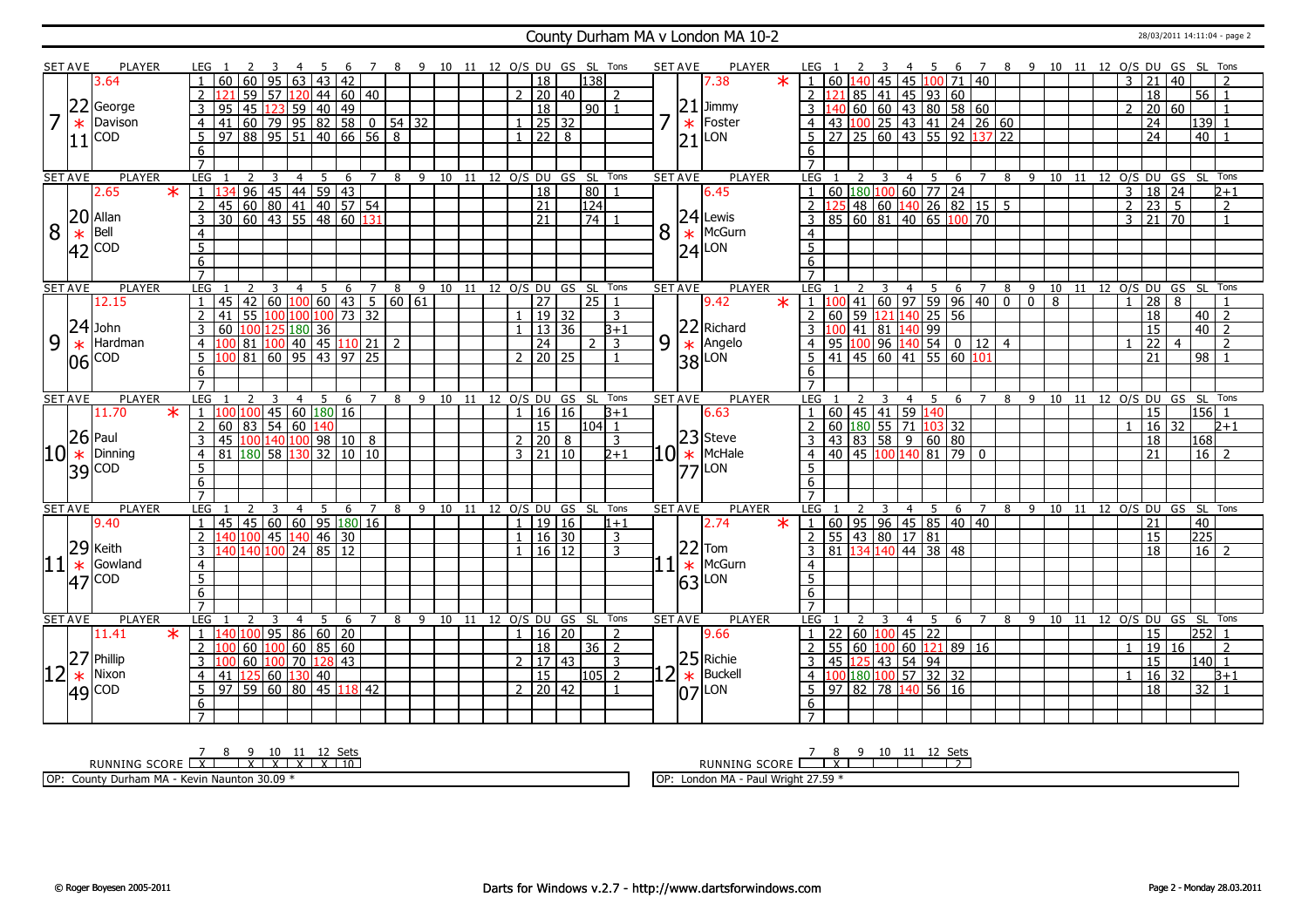### County Durham MA v London MA 10-2 28/03/2011 14:11:04 - page 2

|    | <b>SET AVE</b> | <b>PLAYER</b>      | LEG 1                                                               |                              |                     |         | 8 9 10 11 12 O/S DU GS SL Tons |                      |                     |   |                                  |   | <b>SET AVE</b>              | <b>PLAYER</b>                    |                         |                                                |                          | - 5                           |     |                |        |            |    |                |                     |                 | 6 7 8 9 10 11 12 0/S DU GS SL Tons     |
|----|----------------|--------------------|---------------------------------------------------------------------|------------------------------|---------------------|---------|--------------------------------|----------------------|---------------------|---|----------------------------------|---|-----------------------------|----------------------------------|-------------------------|------------------------------------------------|--------------------------|-------------------------------|-----|----------------|--------|------------|----|----------------|---------------------|-----------------|----------------------------------------|
|    |                | 3.64               | 60<br>95<br>$\overline{63}$<br>60<br>$\mathbf{1}$                   | 43 42                        |                     |         |                                |                      | $\overline{18}$     |   | 138                              |   |                             | 7.38                             | $\ast$                  | $1   60   140   45   45   100   71   40$       |                          |                               |     |                |        |            |    | 3              | $\overline{21}$     | 40              |                                        |
|    |                |                    | 59 57 120<br>$\overline{2}$                                         | $ 44 $ 60 40                 |                     |         |                                |                      | 2   20   40         |   | $\mathcal{L}$                    |   |                             |                                  |                         | 2 $\left  121 \right  85$ 41 45 93 60          |                          |                               |     |                |        |            |    |                | 18                  |                 | $56$   1                               |
|    | 22             | George             | 45 123<br> 59 <br>3<br>95                                           | $140$ 49                     |                     |         |                                |                      | $\overline{18}$     |   | $90$   1                         |   |                             | $21$ Jimmy                       |                         | $140$ 60 60 43 80 58 60<br>$\mathbf{3}$        |                          |                               |     |                |        |            |    | $\mathcal{L}$  | 20 60               |                 |                                        |
|    | $\ast$         | Davison            | $\overline{4}$<br>  41                                              |                              |                     |         |                                |                      | $1 \ 25 \ 32$       |   |                                  | ᄀ | $\ast$                      | Foster                           |                         | 43 100 25 43 41 24 26 60                       |                          |                               |     |                |        |            |    |                | 24                  |                 | 139                                    |
|    |                | <b>COD</b>         | 97   88   95   51  <br>5                                            | $140 \mid 66 \mid 56 \mid 8$ |                     |         |                                | 1                    | $\overline{22}$     | 8 |                                  |   |                             | LON                              |                         | 27 25 60 43 55 92 1<br>5 <sup>1</sup>          |                          |                               |     | $137$ 22       |        |            |    |                | $\overline{24}$     |                 | 40                                     |
|    | 11             |                    |                                                                     |                              |                     |         |                                |                      |                     |   |                                  |   | $\overline{21}$             |                                  |                         |                                                |                          |                               |     |                |        |            |    |                |                     |                 |                                        |
|    |                |                    | 6<br>$\overline{7}$                                                 |                              |                     |         |                                |                      |                     |   |                                  |   |                             |                                  |                         | 6                                              |                          |                               |     |                |        |            |    |                |                     |                 |                                        |
|    | <b>SET AVE</b> | <b>PLAYER</b>      | LEG<br>3<br>2<br>$\overline{4}$                                     | 5<br>6<br>$\overline{7}$     |                     |         | 8 9 10 11 12 0/S DU GS SL Tons |                      |                     |   |                                  |   | <b>SET AVE</b>              | <b>PLAYER</b>                    |                         | LEG<br>2                                       |                          | $\overline{4}$<br>$5^{\circ}$ | 6   | $\overline{7}$ |        |            |    |                |                     |                 | 8 9 10 11 12 O/S DU GS SL Tons         |
|    |                | 2.65<br>$\ast$     |                                                                     |                              |                     |         |                                |                      | $\overline{18}$     |   | 80                               |   |                             | 6.45                             |                         | 60 180 100 60 77 24                            |                          |                               |     |                |        |            |    | $\overline{3}$ | $18$ 24             |                 | $2 + 1$                                |
|    |                |                    | $\overline{2}$                                                      |                              |                     |         |                                |                      | $\overline{21}$     |   | $\sqrt{124}$                     |   |                             |                                  |                         | 2 125 48 60 140 26 82 15 5                     |                          |                               |     |                |        |            |    | $\overline{2}$ |                     |                 | 2                                      |
|    |                | $20$ Allan         | 134 96 45 44 59 43<br>45 60 80 41 40 57 54<br>30 60 43 55 48 60 131 |                              |                     |         |                                |                      | $\overline{21}$     |   | $\overline{74}$                  |   |                             | $ 24 $ Lewis                     |                         | 3   85   60   81   40   65   100   70          |                          |                               |     |                |        |            |    |                | $3 \mid 21 \mid 70$ |                 | $\mathbf{1}$                           |
| 8  |                | Bell               | $\overline{3}$                                                      |                              |                     |         |                                |                      |                     |   |                                  |   |                             | McGurn                           |                         |                                                |                          |                               |     |                |        |            |    |                |                     |                 |                                        |
|    |                |                    | $\overline{4}$                                                      |                              |                     |         |                                |                      |                     |   |                                  | 8 | $\ast$                      |                                  |                         | $\overline{4}$                                 |                          |                               |     |                |        |            |    |                |                     |                 |                                        |
|    |                | $*$ Bell<br>42 COD | $\overline{5}$                                                      |                              |                     |         |                                |                      |                     |   |                                  |   | $\overline{24}$             | LON                              |                         | $\overline{5}$                                 |                          |                               |     |                |        |            |    |                |                     |                 |                                        |
|    |                |                    | 6                                                                   |                              |                     |         |                                |                      |                     |   |                                  |   |                             |                                  |                         | 6                                              |                          |                               |     |                |        |            |    |                |                     |                 |                                        |
|    |                |                    | $\overline{7}$                                                      |                              |                     |         |                                |                      |                     |   |                                  |   |                             |                                  |                         | $\overline{7}$                                 |                          |                               |     |                |        |            |    |                |                     |                 |                                        |
|    | <b>SET AVE</b> | <b>PLAYER</b>      | <b>LEG</b><br>3<br>$\overline{4}$<br>$\overline{2}$                 | 5<br>6<br>$\overline{7}$     | 8                   | $-9$    | 10 11 12 O/S DU GS SL Tons     |                      |                     |   |                                  |   | <b>SET AVE</b>              | <b>PLAYER</b>                    |                         | LEG                                            | 3                        |                               |     |                |        |            |    |                |                     |                 | 4 5 6 7 8 9 10 11 12 O/S DU GS SL Tons |
|    |                | 12.15              | 45   42   60   100   60   43   5   60   61<br>$\mathbf{1}$          |                              |                     |         |                                |                      | $\overline{27}$     |   | $\overline{25 1}$                |   |                             | 9.42                             | $\overline{\textbf{x}}$ | $1 \, 100$                                     | $141$ 60 97 59 96 40 0 0 |                               |     |                |        | $\sqrt{8}$ |    | $\overline{1}$ | $28 \mid 8$         |                 |                                        |
|    | 24             |                    | 55 100 100 100 73 32<br>$\overline{2}$<br>41                        |                              |                     |         |                                |                      | 19 32               |   | 3                                |   |                             |                                  |                         | 60 59 121<br>$\overline{2}$                    |                          | $140$ 25 56                   |     |                |        |            |    |                | $\overline{18}$     |                 | 40<br>l 2                              |
|    |                | John               | 60 100 125 180 36<br>3                                              |                              |                     |         |                                |                      | $1 \mid 13 \mid 36$ |   | $\overline{B+1}$                 |   |                             | 22 Richard<br>* Angelo<br>38 LON |                         | $3 \mid 100 \mid 41 \mid 81 \mid 140 \mid 99$  |                          |                               |     |                |        |            |    |                | $\overline{15}$     |                 | $40\overline{2}$                       |
| 9  | $\ast$         | Hardman            | 81 100 40 45 110 21<br>$\overline{4}$                               |                              | $\overline{2}$      |         |                                |                      | $\overline{24}$     |   | $\overline{3}$<br>$\overline{2}$ |   | 9                           |                                  |                         | 95 100 96 140 54 0 12 4<br>$\overline{4}$      |                          |                               |     |                |        |            |    | $\mathbf{1}$   | $\overline{22}$     | $\overline{4}$  | $\overline{2}$                         |
|    | 06             | <b>COD</b>         | $\boxed{81}$ 60 95 43 97 25<br>5 <sup>5</sup>                       |                              |                     |         |                                |                      | $2$   20   25       |   |                                  |   |                             |                                  |                         | 41 45 60 41 55 60 101                          |                          |                               |     |                |        |            |    |                | $\overline{21}$     | $\overline{98}$ |                                        |
|    |                |                    | 6                                                                   |                              |                     |         |                                |                      |                     |   |                                  |   |                             |                                  |                         | 6                                              |                          |                               |     |                |        |            |    |                |                     |                 |                                        |
|    |                |                    |                                                                     |                              |                     |         |                                |                      |                     |   |                                  |   |                             |                                  |                         |                                                |                          |                               |     |                |        |            |    |                |                     |                 |                                        |
|    | <b>SET AVE</b> | <b>PLAYER</b>      | LEG 1<br>$\overline{z}$<br>$\mathbf{3}$<br>$\overline{4}$           | 5<br>6 7                     | 8                   | 9       | 10 11 12 0/S DU GS SL Tons     |                      |                     |   |                                  |   | <b>SET AVE</b>              | <b>PLAYER</b>                    |                         | LEG                                            |                          | 4 <sub>5</sub>                | 6 7 |                | 8<br>9 |            |    |                |                     |                 | 10 11 12 0/S DU GS SL Tons             |
|    |                | 11.70              | $\frac{*}{1}$ 1   100   100   45   60   180   16                    |                              |                     |         |                                |                      | 1   16   16         |   | $3+1$                            |   |                             | 6.63                             |                         | $60$ 45 41 59 140                              |                          |                               |     |                |        |            |    |                | 15                  |                 | $ 156 $ 1                              |
|    |                |                    | $60$ 83 54 60<br>$\overline{2}$                                     | L40                          |                     |         |                                |                      | 15                  |   | l104l 1                          |   |                             |                                  |                         | 60 180 55 71 103 32                            |                          |                               |     |                |        |            |    |                | 16                  | 32              | $2 + 1$                                |
|    |                | $ 26 $ Paul        | 45 100 140 100 98 10 8<br>3                                         |                              |                     |         |                                | $\mathcal{P}$        | 20                  | 8 | 3                                |   |                             | $10^{23}$ Steve                  |                         | $43 \ 83 \ 58 \ 9 \ 60 \ 80$                   |                          |                               |     |                |        |            |    |                | 18                  |                 | 168                                    |
| 10 | $\ast$         | Dinning            | 81   180   58   130   32   10   10<br>$\overline{4}$                |                              |                     |         |                                |                      | $3 \mid 21 \mid 10$ |   | $2 + 1$                          |   |                             | McHale                           |                         | 40 45 100 140 81 79<br>4 <sup>1</sup>          |                          |                               |     | $\Omega$       |        |            |    |                | 21                  |                 | $16$   2                               |
|    |                | $ 39 ^{COD}$       | 5                                                                   |                              |                     |         |                                |                      |                     |   |                                  |   | 177                         | LON                              |                         | 5                                              |                          |                               |     |                |        |            |    |                |                     |                 |                                        |
|    |                |                    | 6                                                                   |                              |                     |         |                                |                      |                     |   |                                  |   |                             |                                  |                         | 6                                              |                          |                               |     |                |        |            |    |                |                     |                 |                                        |
|    |                |                    | $\overline{7}$                                                      |                              |                     |         |                                |                      |                     |   |                                  |   |                             |                                  |                         | $\overline{7}$                                 |                          |                               |     |                |        |            |    |                |                     |                 |                                        |
|    | <b>SET AVE</b> | <b>PLAYER</b>      | LEG<br>2<br>$\overline{4}$<br>3                                     | 5<br>6                       | $\overline{7}$<br>8 | 9<br>10 | 11                             |                      |                     |   | 12 O/S DU GS SL Tons             |   | <b>SET AVE</b>              | <b>PLAYER</b>                    |                         | <b>LEG</b>                                     |                          | $\overline{4}$<br>5           | 6   | 7              | 89     | 10         | 11 |                |                     |                 | 12 O/S DU GS SL Tons                   |
|    |                | 9.40               | 45 60 60 95 180 16<br>45<br>1                                       |                              |                     |         |                                | $\mathbf{1}$         | 19 16               |   | $1 + 1$                          |   |                             | 2.74                             | $\ast$                  | 1   60   95   96   45   85   40   40           |                          |                               |     |                |        |            |    |                | 21                  | 40              |                                        |
|    |                |                    | 140 100 45 140 46 30<br>$\overline{2}$                              |                              |                     |         |                                | $\mathbf{1}$         | $16$ 30             |   | $\overline{3}$                   |   |                             |                                  |                         | $2$ 55 43 80 17 81                             |                          |                               |     |                |        |            |    |                | 15                  |                 | 225                                    |
|    |                | 29 Keith           | 40 140 100 24 85 12<br>3                                            |                              |                     |         |                                |                      | 16 12               |   | 3                                |   |                             | $22$ Tom                         |                         | 3   81   134   140   44   38   48              |                          |                               |     |                |        |            |    |                | 18                  |                 | 16<br>$\overline{z}$                   |
|    | $\ast$         | Gowland            | $\overline{4}$                                                      |                              |                     |         |                                |                      |                     |   |                                  |   | $\vert$ 1 $\vert$<br>$\ast$ | McGurn                           |                         | $\overline{4}$                                 |                          |                               |     |                |        |            |    |                |                     |                 |                                        |
|    |                | $ 47 ^{COD}$       | $\overline{5}$                                                      |                              |                     |         |                                |                      |                     |   |                                  |   | 63                          | LON                              |                         | $\overline{5}$                                 |                          |                               |     |                |        |            |    |                |                     |                 |                                        |
| 11 |                |                    | 6                                                                   |                              |                     |         |                                |                      |                     |   |                                  |   |                             |                                  |                         | 6                                              |                          |                               |     |                |        |            |    |                |                     |                 |                                        |
|    |                |                    |                                                                     |                              |                     |         |                                |                      |                     |   |                                  |   |                             |                                  |                         | $\overline{7}$                                 |                          |                               |     |                |        |            |    |                |                     |                 |                                        |
|    |                |                    | $\overline{7}$                                                      |                              |                     |         |                                |                      |                     |   |                                  |   | <b>SET AVE</b>              | <b>PLAYER</b>                    |                         | <b>LEG</b><br>$\overline{2}$                   | $\overline{\mathbf{3}}$  | $\overline{4}$<br>$5^{\circ}$ | 6 7 |                |        |            |    |                |                     |                 | 8 9 10 11 12 0/S DU GS SL Tons         |
|    | <b>SET AVE</b> | PLAYER             | <b>LEG</b><br>2<br>3<br>$\overline{4}$                              | 5<br>$\overline{7}$<br>6     | 8                   | - 9     | 10 11                          | 12 O/S DU GS SL Tons |                     |   |                                  |   |                             |                                  |                         |                                                |                          |                               |     |                |        |            |    |                |                     |                 |                                        |
|    |                | $\star$<br>11.41   | 0 100 95 86 60 20<br>-1 - 11                                        |                              |                     |         |                                |                      | 1   16   20         |   | 2                                |   |                             | 9.66                             |                         | 22   60   100   45   22<br>$1 \mid$            |                          |                               |     |                |        |            |    |                | $\overline{15}$     |                 | $252$ 1                                |
|    |                |                    | 2 100                                                               |                              |                     |         |                                |                      | 18                  |   |                                  |   |                             |                                  |                         |                                                |                          |                               |     |                |        |            |    | $\overline{1}$ |                     |                 | $\overline{2}$                         |
|    |                | Phillip            | 60 100 60 85 60<br>60 100 70 128 43<br>3                            |                              |                     |         |                                |                      | $2 \mid 17 \mid 43$ |   | $36 \mid 2$                      |   |                             |                                  |                         | $2   55   60   100   60   121   89   16$<br>3  |                          |                               |     |                |        |            |    |                | 19 16               |                 | $140$ 1                                |
|    |                | Nixon              | 125<br>$\overline{4}$<br>41                                         |                              |                     |         |                                |                      | 15                  |   | $\overline{3}$<br>$105$   2      |   |                             | $25$ Richie<br>Buckell           |                         | 45 125 43 54 94<br>$\overline{4}$              |                          |                               |     |                |        |            |    |                | $\overline{15}$     |                 | B+1                                    |
|    | $ 12 ^{27}$    |                    | 60 130 40<br>$97$ 59 60 80 45 118 42<br>5                           |                              |                     |         |                                |                      | $2 \ 20 \ 42$       |   |                                  |   | $\overline{2}$<br>$\ast$    |                                  |                         | 00 180 100 57 32 32<br>5<br>97 82 78 140 56 16 |                          |                               |     |                |        |            |    |                | $16 \mid 32$<br>18  |                 | 32                                     |
|    |                | $ 49 ^{COD}$       |                                                                     |                              |                     |         |                                |                      |                     |   |                                  |   |                             | $ 07 $ LON                       |                         |                                                |                          |                               |     |                |        |            |    |                |                     |                 |                                        |
|    |                |                    | 6                                                                   |                              |                     |         |                                |                      |                     |   |                                  |   |                             |                                  |                         | 6                                              |                          |                               |     |                |        |            |    |                |                     |                 |                                        |

<u>7 8 9 10 11 12 Sets</u><br>RUNNING SCORE <u>| X | X | X | X | X | 10</u>

OP: County Durham MA - Kevin Naunton 30.09 \*

RUNNING SCORE 7 8 X 9 10 11 12 Sets 2

OP: London MA - Paul Wright 27.59 \*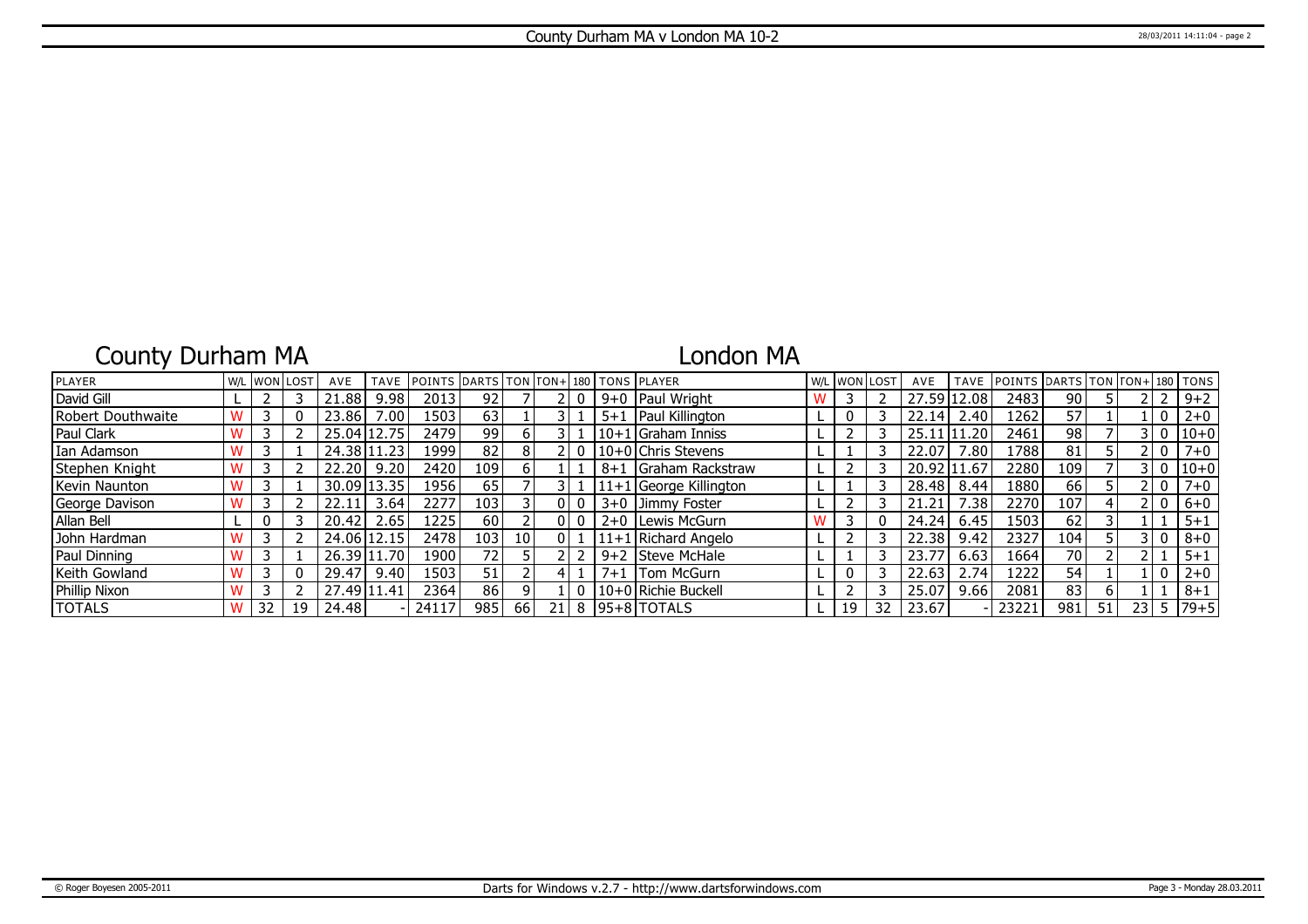# County Durham MA

## London MA

| <b>PLAYER</b>     |  | <b>W/L WON LOST</b> | AVE         | <b>TAVE</b>    | <b>POINTS DARTS TON FON+ 180 TONS PLAYER</b> |                  |                 |     |         |                          | W/L | <b>WONLOST</b> |    | AVE   | <b>TAVE</b> | POINTS DARTS TON TON+ 180 TONS |      |    |                 |   |          |
|-------------------|--|---------------------|-------------|----------------|----------------------------------------------|------------------|-----------------|-----|---------|--------------------------|-----|----------------|----|-------|-------------|--------------------------------|------|----|-----------------|---|----------|
| David Gill        |  |                     | .88         | 9.98           | 2013                                         | 92 <sub>1</sub>  |                 |     |         | 9+0   Paul Wright        |     |                |    | 27.59 | 12.08       | 2483                           | 90   |    |                 |   | $9 + 2$  |
| Robert Douthwaite |  |                     | 23.86       | $^{\prime}.00$ | 1503                                         | 63               |                 |     | $5 + 1$ | Paul Killington          |     |                |    | 22.14 | 2.40        | 1262                           | 57   |    |                 | 0 | $2 + 0$  |
| Paul Clark        |  |                     |             | 25.04 12.75    | 2479                                         | 99               | h               |     |         | 10+1 Graham Inniss       |     |                |    | 25.11 | 11.20       | 2461                           | 98   |    |                 | 0 | $10 + 0$ |
| Ian Adamson       |  |                     | 24.38 11    | .23            | 1999                                         | 82               |                 |     |         | 10+0 Chris Stevens       |     |                |    | 22.07 | .80         | 1788                           | 81   |    |                 | 0 | $7 + 0$  |
| Stephen Knight    |  |                     | 22.20       | 9.20           | 2420                                         | 109 l            | b.              |     | $8 + 1$ | <b>IGraham Rackstraw</b> |     |                |    | 20.92 | 11.67       | 2280                           | 109  |    |                 | 0 | $10 + 0$ |
| Kevin Naunton     |  |                     |             | 30.09 13.35    | 1956                                         | 65               |                 |     |         | $11+1$ George Killington |     |                |    | 28.48 | 8.44        | 1880                           | 66   |    |                 | 0 | $7 + 0$  |
| George Davison    |  |                     | 22.11       | 3.64           | 2277                                         | 103              |                 | 01  | $3 + 0$ | Jimmy Foster             |     |                |    | 21.21 | .38         | 2270                           | 107  | 4  |                 | 0 | $6+0$    |
| Allan Bell        |  |                     | 20.42       | 2.65           | 225                                          | 60 I             |                 | 01  |         | 2+0   Lewis McGurn       |     |                |    | 24.24 | 6.45        | 1503                           | 62   |    |                 |   | $5 + 1$  |
| John Hardman      |  |                     | 24.06 12.15 |                | 2478                                         | 103 <sub>l</sub> | 10 <sup>1</sup> | 0 I |         | 11+1 Richard Angelo      |     |                |    | 22.38 | 9.42        | 2327                           | 104' |    |                 | 0 | $8 + 0$  |
| Paul Dinning      |  |                     | 26.39 11    | .70            | 19001                                        | 72               |                 |     |         | 9+2 Steve McHale         |     |                |    | 23.77 | 6.63        | 1664                           | 70   |    |                 |   | $5 + 1$  |
| Keith Gowland     |  |                     | 29.47       | 9.40           | 1503                                         | 51               |                 |     | $7 + 1$ | <b>Tom McGurn</b>        |     |                |    | 22.63 | 2.74        | 1222                           | 54   |    |                 | 0 | $2 + 0$  |
| Phillip Nixon     |  |                     | 27.49 11.41 |                | 2364                                         | 86               |                 |     |         | l 10+0 l Richie Buckell  |     |                |    | 25.07 | 9.66        | 2081                           | 83   | 6  |                 |   | $8 + 1$  |
| <b>TOTALS</b>     |  | 19                  | 24.48       |                | 24117                                        | 985              | <b>66</b>       | 21  |         | 8 95+8 TOTALS            |     | 19             | 32 | 23.67 |             | 23221                          | 981  | 51 | 23 <sub>1</sub> |   | $79 + 5$ |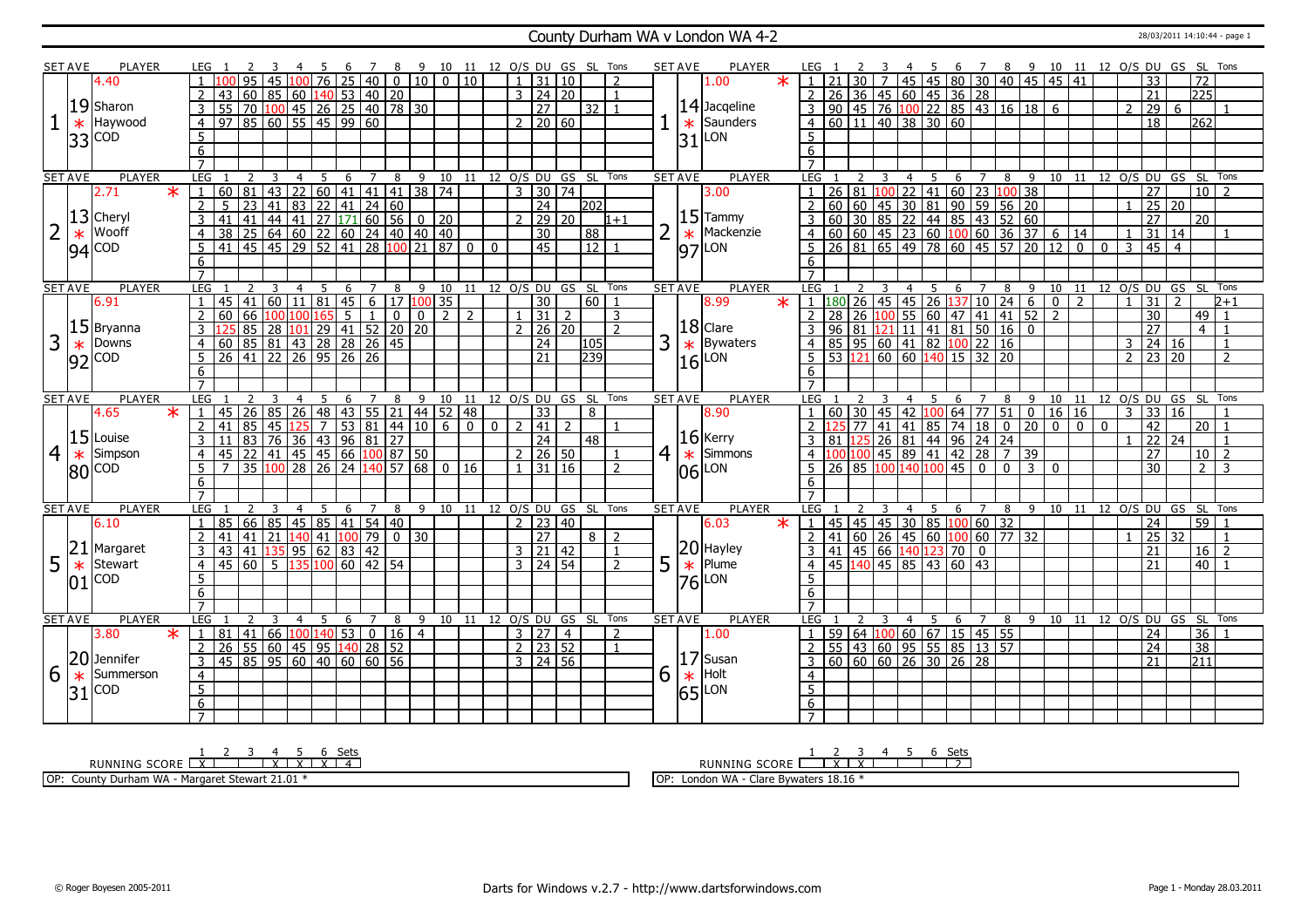### County Durham WA v London WA 4-2 28/03/2011 14:10:44 - page 1

|                | <b>SET AVE</b> | <b>PLAYER</b>                      | LEG 1                             |                               |                       |                 |                 |                   |                |                                                                      | 6 7 8 9 10 11 12 O/S DU GS SL Tons                           |                |          |                              |                         |                 |                |   | <b>SET AVE</b> | <b>PLAYER</b>               | LEG 1                                                                                                                                     |                 | 3              |                |             |                          |                |             |                 |                |                |                |                | 4 5 6 7 8 9 10 11 12 O/S DU GS SL Tons   |                |                           |               |
|----------------|----------------|------------------------------------|-----------------------------------|-------------------------------|-----------------------|-----------------|-----------------|-------------------|----------------|----------------------------------------------------------------------|--------------------------------------------------------------|----------------|----------|------------------------------|-------------------------|-----------------|----------------|---|----------------|-----------------------------|-------------------------------------------------------------------------------------------------------------------------------------------|-----------------|----------------|----------------|-------------|--------------------------|----------------|-------------|-----------------|----------------|----------------|----------------|----------------|------------------------------------------|----------------|---------------------------|---------------|
|                |                | 4.40                               |                                   |                               |                       |                 | $\overline{76}$ | 25                |                |                                                                      | 40 0 10 0 10                                                 |                |          |                              | $1 \mid 31 \mid 10$     |                 | $\overline{2}$ |   |                | $\star$<br>1.00             |                                                                                                                                           |                 |                |                |             |                          |                |             |                 |                |                |                |                | 33                                       |                | $\overline{172}$          |               |
|                |                |                                    | 2                                 | 43                            | 60 85 60 140 53 40 20 |                 |                 |                   |                |                                                                      |                                                              |                |          |                              | $3 \mid 24 \mid 20$     |                 | $\overline{1}$ |   |                |                             |                                                                                                                                           |                 |                |                |             |                          |                |             |                 |                |                |                |                | $\overline{21}$                          |                | $\overline{225}$          |               |
|                |                | 19 Sharon                          | $\overline{3}$                    | $\overline{55}$               |                       |                 |                 |                   |                | 70 100 45 26 25 40 78 30                                             |                                                              |                |          |                              | $\overline{27}$         | $32$   1        |                |   |                | $14$ Jacqeline              |                                                                                                                                           |                 |                |                |             |                          |                |             |                 |                |                |                | $\mathcal{P}$  | 29                                       | 6              |                           |               |
|                | $\ast$         | Haywood                            | $\overline{4}$                    | $97$ 85 60 55 45 99 60        |                       |                 |                 |                   |                |                                                                      |                                                              |                |          |                              | $2 \ 20 \ 60$           |                 |                |   |                | $\star$ Saunders            | 4 60 11 40 38 30 60                                                                                                                       |                 |                |                |             |                          |                |             |                 |                |                |                |                | $\overline{18}$                          |                | 262                       |               |
|                |                |                                    |                                   |                               |                       |                 |                 |                   |                |                                                                      |                                                              |                |          |                              |                         |                 |                |   |                |                             | 5 <sup>1</sup>                                                                                                                            |                 |                |                |             |                          |                |             |                 |                |                |                |                |                                          |                |                           |               |
|                |                | $33$ $\frac{\text{COD}}{\text{C}}$ | $5\overline{)}$<br>$\overline{6}$ |                               |                       |                 |                 |                   |                |                                                                      |                                                              |                |          |                              |                         |                 |                |   |                | $31$ $\mu$ on               |                                                                                                                                           |                 |                |                |             |                          |                |             |                 |                |                |                |                |                                          |                |                           |               |
|                |                |                                    | $\overline{7}$                    |                               |                       |                 |                 |                   |                |                                                                      |                                                              |                |          |                              |                         |                 |                |   |                |                             | $\overline{6}$                                                                                                                            |                 |                |                |             |                          |                |             |                 |                |                |                |                |                                          |                |                           |               |
| <b>SET AVE</b> |                | <b>PLAYER</b>                      | LEG 1                             |                               | $2 \quad 3$           | $\overline{4}$  |                 |                   |                |                                                                      | 5 6 7 8 9 10 11 12 O/S DU GS SL Tons                         |                |          |                              |                         |                 |                |   | <b>SET AVE</b> | <b>PLAYER</b>               | LEG <sub>1</sub>                                                                                                                          | <sup>2</sup>    |                |                |             |                          |                |             |                 |                |                |                |                | 3 4 5 6 7 8 9 10 11 12 O/S DU GS SL Tons |                |                           |               |
|                |                | 2.71<br>$\ast$                     | $\overline{1}$                    | 60 81 43 22 60 41 41 41 38 74 |                       |                 |                 |                   |                |                                                                      |                                                              |                |          |                              | 3   30   74             |                 |                |   |                | 3.00                        |                                                                                                                                           | 26 81           |                |                |             | $100$ 22 41 60 23 100 38 |                |             |                 |                |                |                |                | $\overline{27}$                          |                | $10\overline{\smash{)}2}$ |               |
|                |                |                                    | 2                                 | 5<br>23                       |                       |                 |                 | $41$ 83 22 41     |                | 24 60                                                                |                                                              |                |          |                              | 24                      | 202             |                |   |                |                             |                                                                                                                                           |                 |                |                |             |                          |                |             |                 |                |                |                |                | $25 \mid 20$                             |                |                           |               |
|                |                | $13$ Cheryl                        |                                   | 41                            |                       |                 |                 |                   |                |                                                                      | $44 \mid 41 \mid 27 \mid 171 \mid 60 \mid 56 \mid 0 \mid 20$ |                |          |                              | $2 \mid 29 \mid 20$     |                 | $1+1$          |   |                | $15$ Tammy                  |                                                                                                                                           |                 |                |                |             |                          |                |             |                 |                |                |                |                | $\overline{27}$                          |                | l 20                      |               |
|                |                | Wooff                              | $\overline{3}$                    | 41                            |                       |                 |                 |                   |                |                                                                      |                                                              |                |          |                              |                         |                 |                |   |                | $\star$ Mackenzie           |                                                                                                                                           |                 |                |                |             |                          |                |             |                 |                |                |                |                | $31 \mid 14$                             |                |                           |               |
|                | $\ast$         |                                    | $\overline{4}$                    |                               |                       |                 |                 |                   |                |                                                                      |                                                              |                |          |                              | $\overline{30}$         | $\overline{88}$ |                |   |                |                             | 2 60 60 45 30 81 90 59 56 20<br>3 60 30 85 22 44 85 43 52 60<br>4 60 60 45 23 60 100 60 36 37 6 14<br>5 26 81 65 49 78 60 45 57 20 12 0 0 |                 |                |                |             |                          |                |             |                 |                |                |                | $\blacksquare$ |                                          |                |                           |               |
|                | 94             | <b>COD</b>                         | -5                                |                               |                       |                 |                 |                   |                |                                                                      |                                                              |                |          |                              | 45                      | $12$ 1          |                |   |                | $ 97 $ LON                  |                                                                                                                                           |                 |                |                |             |                          |                |             |                 |                |                |                |                | $3 \mid 45 \mid 4$                       |                |                           |               |
|                |                |                                    | 6                                 |                               |                       |                 |                 |                   |                |                                                                      |                                                              |                |          |                              |                         |                 |                |   |                |                             | 6                                                                                                                                         |                 |                |                |             |                          |                |             |                 |                |                |                |                |                                          |                |                           |               |
|                |                |                                    | $\overline{7}$                    |                               |                       |                 |                 |                   |                |                                                                      |                                                              |                |          |                              |                         |                 |                |   |                |                             | $\overline{7}$                                                                                                                            |                 |                |                |             |                          |                |             |                 |                |                |                |                |                                          |                |                           |               |
| <b>SET AVE</b> |                | <b>PLAYER</b>                      | LEG                               |                               | 3                     | $\overline{4}$  | $\overline{5}$  | 6                 | $7^{\circ}$    | 8                                                                    | 9 10 11 12 O/S DU GS SL Tons                                 |                |          |                              |                         |                 |                |   | <b>SET AVE</b> | <b>PLAYER</b>               | LEG 1                                                                                                                                     |                 | $\overline{3}$ | $\overline{4}$ |             | $5\quad 6\quad 7\quad 8$ |                |             | $-9$            |                |                |                |                | 10 11 12 0/S DU GS SL Tons               |                |                           |               |
|                |                | 6.91                               | $\overline{1}$                    | 45   41   60   11   81   45   |                       |                 |                 |                   |                |                                                                      | $6 \mid 17 \mid 100 \mid 35$                                 |                |          |                              | 30 <sup>°</sup>         | 60   1          |                |   |                | 8.99<br>$\star$             | $1 \vert 180 \vert 26 \vert 45 \vert 45 \vert 26 \vert 137 \vert 10 \vert 24 \vert 6$                                                     |                 |                |                |             |                          |                |             |                 | $0 \mid 2$     |                |                | $\mathbf{1}$   | 31 <sup>1</sup>                          | $\overline{2}$ |                           | $2 + 1$       |
|                |                |                                    | $\overline{2}$                    | 60<br>66                      |                       |                 | 100 100 165     | $\overline{5}$    | 1              | $\overline{0}$                                                       | 0 2 1                                                        | $\overline{2}$ |          |                              | $1 \vert 31 \vert 2$    |                 | 3              |   |                | $ 18 $ Clare                | $2$   28   26                                                                                                                             |                 |                |                |             | $100$ 55 60 47 41 41     |                |             | $\overline{52}$ | 2              |                |                |                | 30                                       |                | 49                        |               |
|                |                | $15$ Bryanna                       | $\overline{3}$                    | 85                            | $\overline{28}$       |                 |                 |                   |                | $\frac{101}{29}$ 41 52 20 20                                         |                                                              |                |          |                              | $2 \mid 26 \mid 20$     |                 | $\overline{2}$ |   |                |                             |                                                                                                                                           |                 |                |                |             |                          |                |             |                 |                |                |                |                | $\overline{27}$                          |                | $-4$ 1                    |               |
| 3              | $\ast$         | Downs                              | $\overline{4}$                    |                               |                       |                 |                 |                   |                |                                                                      |                                                              |                |          |                              | $\sqrt{24}$             | 105             |                | 3 | $\ast$         | Bywaters                    |                                                                                                                                           |                 |                |                |             |                          |                |             |                 |                |                |                | 3 <sup>1</sup> | 24 16                                    |                |                           |               |
|                |                | $ 92 ^{COD}$                       | 5                                 |                               |                       |                 |                 |                   |                |                                                                      |                                                              |                |          |                              | $\overline{21}$         | 739             |                |   |                | $16$ LON                    | $5 \ 53 \ 121 \ 60 \ 60 \ 140 \ 15 \ 32 \ 20$                                                                                             |                 |                |                |             |                          |                |             |                 |                |                |                | $\overline{2}$ | 23 20                                    |                |                           | $\mathcal{P}$ |
|                |                |                                    | 6                                 |                               |                       |                 |                 |                   |                |                                                                      |                                                              |                |          |                              |                         |                 |                |   |                |                             | 6                                                                                                                                         |                 |                |                |             |                          |                |             |                 |                |                |                |                |                                          |                |                           |               |
|                |                |                                    | $\overline{7}$                    |                               |                       |                 |                 |                   |                |                                                                      |                                                              |                |          |                              |                         |                 |                |   |                |                             |                                                                                                                                           |                 |                |                |             |                          |                |             |                 |                |                |                |                |                                          |                |                           |               |
| <b>SET AVE</b> |                | <b>PLAYER</b>                      | LEG                               |                               |                       | 4               | -5              | 6                 |                | 8                                                                    | 9                                                            |                |          | 10 11 12 0/S DU GS SL        |                         |                 | Tons           |   | <b>SET AVE</b> | <b>PLAYER</b>               | LEG                                                                                                                                       |                 |                | $\overline{4}$ | - 5         | 6                        | $\overline{7}$ | 8           | $-9$            | $10$ $11$      |                |                |                | 12 O/S DU GS SL Tons                     |                |                           |               |
|                |                |                                    |                                   |                               |                       |                 |                 |                   |                |                                                                      |                                                              |                |          |                              |                         |                 |                |   |                |                             |                                                                                                                                           |                 |                |                |             |                          |                |             |                 |                |                |                |                |                                          |                |                           |               |
|                |                | $\ast$<br>4.65                     | $\mathbf{1}$                      | 45<br>26                      | 85                    | $\overline{26}$ | 48              | 43                |                |                                                                      | $55$ 21 44 52 48                                             |                |          |                              | 33                      | 8               |                |   |                | 8.90                        | 60                                                                                                                                        | $\overline{30}$ | 45             |                |             | 42 100 64 77 51          |                |             | $\overline{0}$  | 16 16          |                |                | $\overline{3}$ | 33 16                                    |                |                           |               |
|                |                |                                    | $\overline{2}$                    | 85<br>41                      |                       |                 |                 |                   |                |                                                                      |                                                              | n I            | $\Omega$ |                              | $2 \mid 41 \mid 2$      |                 |                |   |                |                             | $2 \frac{125}{2}$                                                                                                                         | 77              | 41             |                |             | 41   85   74   18   0    |                |             | $\overline{20}$ | $\sqrt{0}$     | $\overline{0}$ | $\overline{0}$ |                | 42                                       |                | l 20 l                    |               |
|                |                | $15$ Louise                        | $\overline{3}$                    | 83                            |                       |                 |                 |                   |                |                                                                      |                                                              |                |          |                              | 24                      | 48              |                |   |                | $16$ Kerry                  |                                                                                                                                           |                 |                |                |             |                          |                |             |                 |                |                |                |                | $22 \mid 24$                             |                |                           |               |
| 4              | $\ast$         | Simpson                            | $\overline{4}$                    | $ 22\rangle$<br>45            |                       |                 |                 |                   |                |                                                                      |                                                              |                |          |                              | $2 \mid 26 \mid 50$     |                 |                | 4 |                | $\star$ Simmons             |                                                                                                                                           |                 |                |                |             |                          |                |             | 39              |                |                |                |                | 27                                       |                | $10$   2                  |               |
|                |                |                                    | 5                                 |                               | $\frac{1}{35}$ 100 28 |                 |                 |                   |                | 76 36 43 96 81 27<br>41 45 45 66 100 87 50<br>100 28 26 24 140 57 68 | $140$   57   68   0   16                                     |                |          |                              | $1 \mid 31 \mid 16$     |                 | $\mathcal{L}$  |   |                |                             | $5 \ 26 \ 85 \ 100$                                                                                                                       |                 |                |                |             | $140\,100\,45$ 0         |                | $\mathbf 0$ | $\overline{3}$  | $\overline{0}$ |                |                |                | $\overline{30}$                          |                | 2 <sup>1</sup>            | -3            |
|                |                | $ 80 $ COD                         | 6                                 |                               |                       |                 |                 |                   |                |                                                                      |                                                              |                |          |                              |                         |                 |                |   |                | 06 LON                      | 6                                                                                                                                         |                 |                |                |             |                          |                |             |                 |                |                |                |                |                                          |                |                           |               |
|                |                |                                    | $\overline{7}$                    |                               |                       |                 |                 |                   |                |                                                                      |                                                              |                |          |                              |                         |                 |                |   |                |                             |                                                                                                                                           |                 |                |                |             |                          |                |             |                 |                |                |                |                |                                          |                |                           |               |
| <b>SET AVE</b> |                | PLAYER                             | <b>LEG</b>                        |                               | 3                     | $\overline{4}$  | 5               | 6                 |                | 7 8                                                                  | 9 10 11 12 0/S DU GS SL Tons                                 |                |          |                              |                         |                 |                |   | <b>SET AVE</b> | <b>PLAYER</b>               | LEG <sub>1</sub>                                                                                                                          |                 | 3              | $\overline{4}$ | $5^{\circ}$ | $6^{\circ}$              | $\overline{7}$ |             |                 |                |                |                |                | 8 9 10 11 12 0/S DU GS SL Tons           |                |                           |               |
|                |                | 6.10                               | $\overline{1}$                    | 85 66 85 45 85 41 54 40       |                       |                 |                 |                   |                |                                                                      |                                                              |                |          |                              | $\frac{1}{2}$   23   40 |                 |                |   |                | 6.03<br>$\star$             | $1   45   45   45   30   85   100   60   32$                                                                                              |                 |                |                |             |                          |                |             |                 |                |                |                |                | $\overline{24}$                          |                | $\overline{59}$ 1         |               |
|                |                |                                    |                                   | 41                            |                       |                 |                 |                   |                | 41   21   140   41   100   79   0   30                               |                                                              |                |          |                              | $\overline{27}$         | $8$   2         |                |   |                |                             | $2   41   60   26   45   60   100   60   77   32$                                                                                         |                 |                |                |             |                          |                |             |                 |                |                |                |                | $25 \mid 32$                             |                |                           |               |
|                | 21             | Margaret                           | $\overline{3}$                    | 43 41                         |                       |                 |                 | $135$ 95 62 83 42 |                |                                                                      |                                                              |                |          |                              | 3   21   42             |                 |                |   |                |                             | 3   41   45   66   140   123   70   0                                                                                                     |                 |                |                |             |                          |                |             |                 |                |                |                |                | 21                                       |                | $16 \mid 2$               |               |
| 5              | $\ast$         | Stewart                            | $\overline{4}$                    | 45 60 5 135 100 60 42 54      |                       |                 |                 |                   |                |                                                                      |                                                              |                |          |                              | 3   24   54             |                 | $\overline{2}$ | 5 |                |                             | $4$   45   140   45   85   43   60   43                                                                                                   |                 |                |                |             |                          |                |             |                 |                |                |                |                | 21                                       |                | 40                        |               |
|                |                | <b>COD</b>                         | $\overline{5}$                    |                               |                       |                 |                 |                   |                |                                                                      |                                                              |                |          |                              |                         |                 |                |   |                | $20$ Hayley<br>$\ast$ Plume | $\overline{5}$                                                                                                                            |                 |                |                |             |                          |                |             |                 |                |                |                |                |                                          |                |                           |               |
|                |                |                                    | 6                                 |                               |                       |                 |                 |                   |                |                                                                      |                                                              |                |          |                              |                         |                 |                |   |                | <b>76</b> LON               | 6                                                                                                                                         |                 |                |                |             |                          |                |             |                 |                |                |                |                |                                          |                |                           |               |
|                |                |                                    | $\overline{7}$                    |                               |                       |                 |                 |                   |                |                                                                      |                                                              |                |          |                              |                         |                 |                |   |                |                             | $\overline{7}$                                                                                                                            |                 |                |                |             |                          |                |             |                 |                |                |                |                |                                          |                |                           |               |
| <b>SET AVE</b> |                | PLAYER                             | <b>LEG</b>                        |                               | 3                     | 4               | -5              | - 6               | $\overline{7}$ | 8                                                                    |                                                              |                |          | 9 10 11 12 O/S DU GS SL Tons |                         |                 |                |   | <b>SET AVE</b> | <b>PLAYER</b>               | LEG 1                                                                                                                                     |                 | 3              | $\overline{4}$ |             | 5 6                      | $\overline{7}$ |             |                 |                |                |                |                | 8 9 10 11 12 O/S DU GS SL Tons           |                |                           |               |
|                |                | 3.80<br>$*1$                       |                                   | 81                            | 41 66 100 140 53      |                 |                 |                   |                | 0   16   4                                                           |                                                              |                |          |                              | 3   27   4              |                 | $\overline{z}$ |   |                | 1.00                        | $\overline{1}$                                                                                                                            | 59 64 100       |                |                |             | 60 67 15 45 55           |                |             |                 |                |                |                |                | 24                                       |                | 36                        |               |
|                |                |                                    | $\overline{2}$                    | $\overline{26}$               | 55 60 45 95 140 28 52 |                 |                 |                   |                |                                                                      |                                                              |                |          |                              | $2 \mid 23 \mid 52$     |                 | $\overline{1}$ |   |                |                             |                                                                                                                                           |                 |                |                |             |                          |                |             |                 |                |                |                |                | $\overline{24}$                          |                | $\overline{38}$           |               |
|                |                | 20 Jennifer                        | $\overline{\mathbf{3}}$           | 45 85 95 60 40 60 60 56       |                       |                 |                 |                   |                |                                                                      |                                                              |                |          |                              | $3 \mid 24 \mid 56$     |                 |                |   |                | $17$ Susan                  | 2   55   43   60   95   55   85   13   57<br>3   60   60   60   26   30   26   28                                                         |                 |                |                |             |                          |                |             |                 |                |                |                |                | $\overline{21}$                          |                | 211                       |               |
|                |                | <b>Summerson</b>                   | $\overline{4}$                    |                               |                       |                 |                 |                   |                |                                                                      |                                                              |                |          |                              |                         |                 |                |   |                | Holt                        | $\overline{4}$                                                                                                                            |                 |                |                |             |                          |                |             |                 |                |                |                |                |                                          |                |                           |               |
| 6              | $\ast$         | <b>COD</b>                         |                                   |                               |                       |                 |                 |                   |                |                                                                      |                                                              |                |          |                              |                         |                 |                | 6 | $\ast$         |                             | $\overline{5}$                                                                                                                            |                 |                |                |             |                          |                |             |                 |                |                |                |                |                                          |                |                           |               |
|                | 31             |                                    | $\overline{5}$<br>6               |                               |                       |                 |                 |                   |                |                                                                      |                                                              |                |          |                              |                         |                 |                |   |                | $65$ <sup>LON</sup>         | 6                                                                                                                                         |                 |                |                |             |                          |                |             |                 |                |                |                |                |                                          |                |                           |               |

RUNNING SCORE <u>| X | X | X | X | X | 4</u><br>RUNNING SCORE <u>| X | X | X | X | 4</u>

OP: County Durham WA - Margaret Stewart 21.01 \*

RUNNING SCORE 1 2 X 3 X 4 5 6 Sets 2

OP: London WA - Clare Bywaters 18.16 \*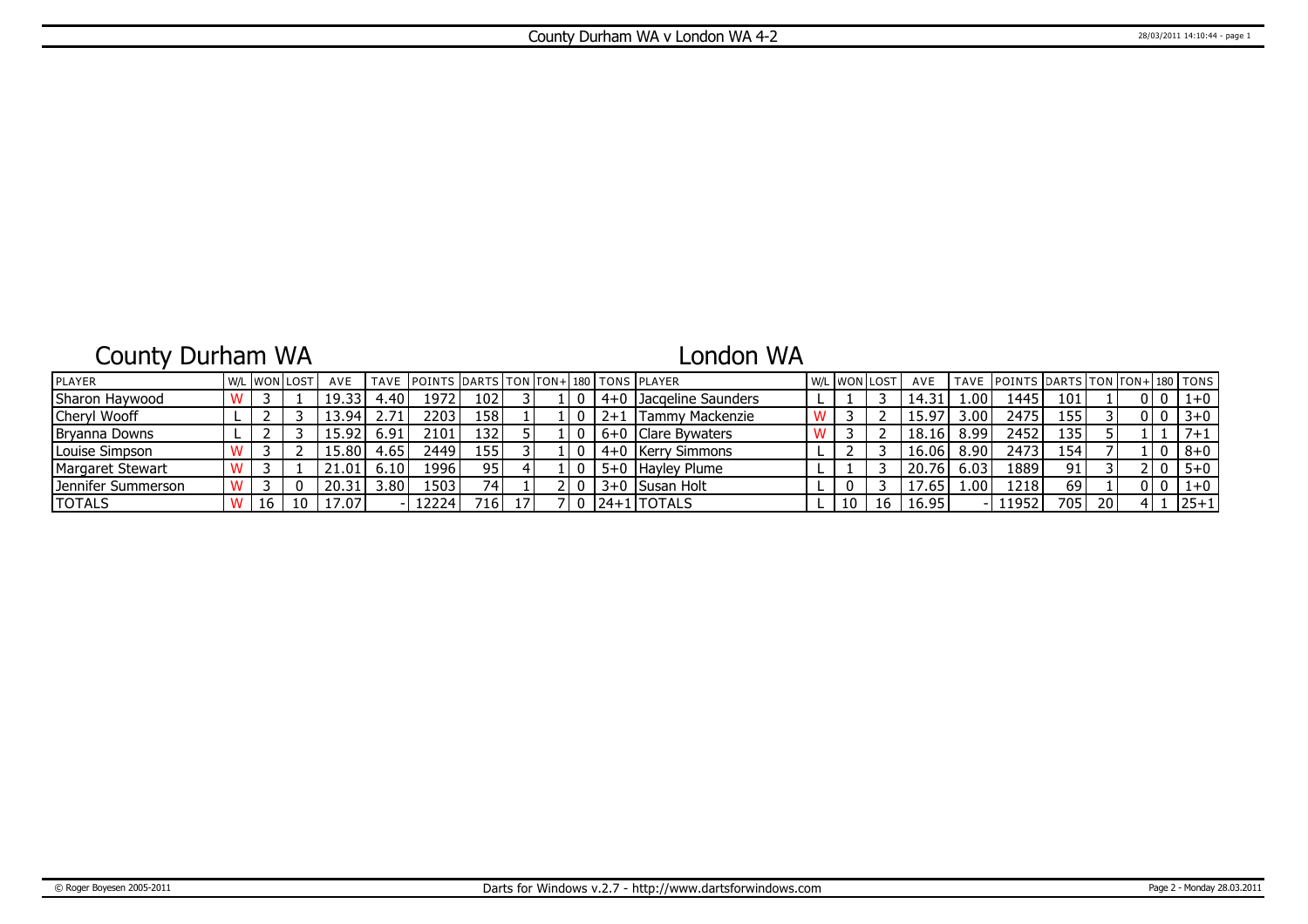# County Durham WA

## London WA

| <b>IPLAYER</b>        |    | l w/l IwonTlost | AVE    |       | TAVE POINTS DARTS TON TON+ 180 TONS PLAYER |       |    |  |         |                        |  | W/L WON LOST | AVE   |                   | TAVE POINTS DARTS TON TON+ 180 TONS |       |                 |  |         |
|-----------------------|----|-----------------|--------|-------|--------------------------------------------|-------|----|--|---------|------------------------|--|--------------|-------|-------------------|-------------------------------------|-------|-----------------|--|---------|
| Sharon Haywood        |    |                 | 19.33  | 4.40. | 1972                                       | 102   |    |  |         | 4+0 Jacaeline Saunders |  |              | 14.31 | .00.              | 1445                                | 101   |                 |  | $1 + 0$ |
| Cheryl Wooff          |    |                 | '3.94، | 2.71' | 2203                                       | 158 l |    |  | $2 + 1$ | I Tammy Mackenzie      |  |              | 15.97 | 3.00 <sup>1</sup> | 2475                                | 155'  |                 |  | $3 + 0$ |
| <b>IBrvanna Downs</b> |    |                 | 15.92' | 6.91  | 2101                                       | 1321  |    |  |         | 6+0   Clare Bywaters   |  |              | 18.16 | 8.99              | 2452                                | 135'  |                 |  |         |
| Louise Simpson        |    |                 | 15.80' | 4.65  | 2449                                       | 155 l |    |  |         | 4+0   Kerry Simmons    |  |              | 16.06 | 8.90              | 2473                                | ا 154 |                 |  | $8+0$   |
| Margaret Stewart      |    |                 | 21.01  | 6.10  | 19961                                      | 951   |    |  |         | 5+0 Hayley Plume       |  |              | 20.76 | 6.03              | 1889                                | 91    |                 |  | $5 + 0$ |
| l Jennifer Summerson  |    |                 | 20.31  | 3.80  | 1503                                       | 741   |    |  |         | 3+0 Susan Holt         |  |              | 17.65 | .00.              | 1218                                | 69    |                 |  | $1 + 0$ |
| <b>TOTALS</b>         | 16 |                 | l7.07  |       | 12224                                      | 716 I | 17 |  |         | 124+11TOTALS           |  | 16           | 16.95 |                   | 11952                               | 705   | 20 <sup>1</sup> |  | 25+1    |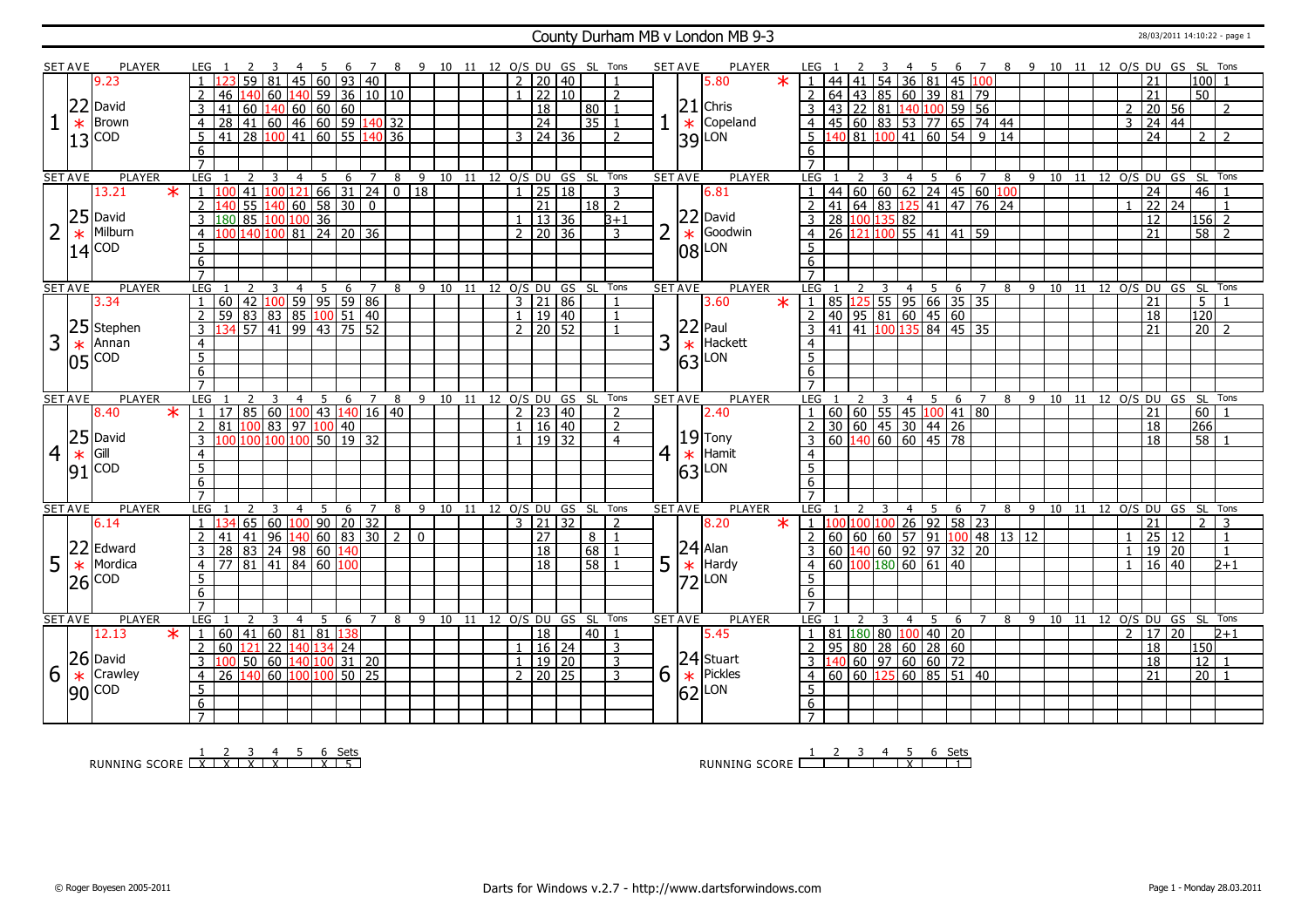### County Durham MB v London MB 9-3 28/03/2011 14:10:22 - page 1

|                | <b>SET AVE</b> |                                                                       | <b>PLAYER</b> | LEG 1            |                              |                 |                                                                   |                | -5  | -6           | <sup>7</sup>   | -8                 |             |           |     |                |                 |                            |                 | 9 10 11 12 O/S DU GS SL Tons | <b>SET AVE</b> |        | PLAYER        |        |                     |    |                                                                              |   |                | - 5 | - 6               |                                   | $\overline{7}$ |                                               | 8 9 10 11 12 0/S DU GS SL Tons |    |  |                |                 |                 |                 |                    |                |  |
|----------------|----------------|-----------------------------------------------------------------------|---------------|------------------|------------------------------|-----------------|-------------------------------------------------------------------|----------------|-----|--------------|----------------|--------------------|-------------|-----------|-----|----------------|-----------------|----------------------------|-----------------|------------------------------|----------------|--------|---------------|--------|---------------------|----|------------------------------------------------------------------------------|---|----------------|-----|-------------------|-----------------------------------|----------------|-----------------------------------------------|--------------------------------|----|--|----------------|-----------------|-----------------|-----------------|--------------------|----------------|--|
|                |                | 9.23                                                                  |               |                  |                              | 59              |                                                                   | 45             |     | $60$ 93 40   |                |                    |             |           |     |                |                 | $2 \mid 20 \mid 40$        |                 | $\overline{1}$               |                |        | 5.80          | $\ast$ |                     |    | 44 41 54 36 81 45 100                                                        |   |                |     |                   |                                   |                |                                               |                                |    |  |                | 21              |                 |                 | 100                |                |  |
|                |                |                                                                       |               | $\overline{2}$   | 46                           | 140             | $60$ 140 59 36 10 10                                              |                |     |              |                |                    |             |           |     |                |                 | $1 \ 22 \ 10$              |                 | 2                            |                |        |               |        | $\overline{2}$      |    | 64 43 85 60 39 81 79                                                         |   |                |     |                   |                                   |                |                                               |                                |    |  |                | 21              |                 |                 | $\overline{50}$    |                |  |
|                |                |                                                                       |               |                  |                              |                 |                                                                   |                |     |              |                |                    |             |           |     |                |                 |                            |                 |                              |                |        | $21$ Chris    |        |                     |    |                                                                              |   |                |     |                   |                                   |                |                                               |                                |    |  |                |                 |                 |                 |                    |                |  |
|                |                | $\begin{array}{c} 22 \text{ David} \\ \ast \text{ Brown} \end{array}$ |               | 3                |                              | 60              | $140$ 60 60 60                                                    |                |     |              |                |                    |             |           |     |                | $\overline{18}$ |                            | 80 <sup>1</sup> |                              |                |        |               |        | 3                   |    | 43 22 81 140 100 59 56                                                       |   |                |     |                   |                                   |                |                                               |                                |    |  | $\overline{2}$ |                 | 20 56           |                 |                    | $\overline{2}$ |  |
|                |                | <b>Brown</b>                                                          |               | $\overline{4}$   | 28                           |                 | $\boxed{41}$ 60 $\boxed{46}$ 60 59 140 32                         |                |     |              |                |                    |             |           |     |                | 24              |                            | 35              |                              |                | $\ast$ | Copeland      |        | $\overline{4}$      |    | 45 60 83 53 77 65 74 44                                                      |   |                |     |                   |                                   |                |                                               |                                |    |  | $\overline{3}$ |                 | 24   44         |                 |                    |                |  |
|                |                | $13$ COD                                                              |               | -5               | l 41                         |                 | 28 100 41 60 55 140 36                                            |                |     |              |                |                    |             |           |     |                |                 | $3 \mid 24 \mid 36$        |                 | 2                            |                |        | $ 39 $ LON    |        | 5                   |    | 140 81 100 41 60 54 9 14                                                     |   |                |     |                   |                                   |                |                                               |                                |    |  |                | $\overline{24}$ |                 |                 | 2 I                | $\overline{2}$ |  |
|                |                |                                                                       |               | 6                |                              |                 |                                                                   |                |     |              |                |                    |             |           |     |                |                 |                            |                 |                              |                |        |               |        | 6                   |    |                                                                              |   |                |     |                   |                                   |                |                                               |                                |    |  |                |                 |                 |                 |                    |                |  |
|                |                |                                                                       |               | $\overline{7}$   |                              |                 |                                                                   |                |     |              |                |                    |             |           |     |                |                 |                            |                 |                              |                |        |               |        |                     |    |                                                                              |   |                |     |                   |                                   |                |                                               |                                |    |  |                |                 |                 |                 |                    |                |  |
|                | <b>SET AVE</b> |                                                                       | <b>PLAYER</b> | LEG              |                              |                 |                                                                   | $\overline{4}$ | 5   | 6            | $\overline{7}$ | 8                  | $-9$        |           |     |                |                 | 10 11 12 0/S DU GS         |                 | SL Tons                      | <b>SET AVE</b> |        | <b>PLAYER</b> |        | LEG                 |    |                                                                              | 3 | $\overline{4}$ |     | 5                 | 6 7                               |                |                                               | 8 9 10 11 12 0/S DU GS SL Tons |    |  |                |                 |                 |                 |                    |                |  |
|                |                | 13.21                                                                 | $\ast$        |                  |                              | 41              |                                                                   |                |     |              |                | .00 121 66 31 24 0 | $\sqrt{18}$ |           |     | $\mathbf{1}$   |                 | 25 18                      |                 | $\overline{3}$               |                |        | 6.81          |        |                     |    | 44 60 60 62 24 45 60 100                                                     |   |                |     |                   |                                   |                |                                               |                                |    |  |                | $\overline{24}$ |                 |                 | 46                 |                |  |
|                |                |                                                                       |               | $\overline{2}$   |                              | $\overline{55}$ | $\frac{140}{60}$ 58 30                                            |                |     |              | $\mathbf 0$    |                    |             |           |     |                | 21              |                            | $18$   2        |                              |                |        |               |        | $\overline{2}$      |    | 41 64 83 125 41 47 76 24                                                     |   |                |     |                   |                                   |                |                                               |                                |    |  |                | $\overline{22}$ |                 | $\overline{24}$ |                    | $\overline{1}$ |  |
|                |                | $25$ David                                                            |               | $\overline{3}$   | 180                          |                 | 85 100 100 36                                                     |                |     |              |                |                    |             |           |     |                |                 | $1 \mid 13 \mid 36$        |                 | $B+1$                        |                |        | $ 22 $ David  |        | $\overline{3}$      |    | 28 100 135 82                                                                |   |                |     |                   |                                   |                |                                               |                                |    |  |                | 12              |                 |                 | $156$ <sup>2</sup> |                |  |
| $\overline{2}$ | $\ast$         | Milburn                                                               |               | $\overline{4}$   |                              | 140             | 100                                                               | $81$ 24 20 36  |     |              |                |                    |             |           |     | 2 <sup>1</sup> |                 | $\sqrt{20}$ 36             |                 | 3                            | 2              | $\ast$ | Goodwin       |        | 4                   |    | 26 121 100                                                                   |   |                |     | 55   41   41   59 |                                   |                |                                               |                                |    |  |                | 21              |                 |                 | $58$   2           |                |  |
|                |                | $14$ $COD$                                                            |               | 5                |                              |                 |                                                                   |                |     |              |                |                    |             |           |     |                |                 |                            |                 |                              |                |        | $ 08 $ LON    |        | 5                   |    |                                                                              |   |                |     |                   |                                   |                |                                               |                                |    |  |                |                 |                 |                 |                    |                |  |
|                |                |                                                                       |               | 6                |                              |                 |                                                                   |                |     |              |                |                    |             |           |     |                |                 |                            |                 |                              |                |        |               |        | 6                   |    |                                                                              |   |                |     |                   |                                   |                |                                               |                                |    |  |                |                 |                 |                 |                    |                |  |
|                |                |                                                                       |               | $\overline{7}$   |                              |                 |                                                                   |                |     |              |                |                    |             |           |     |                |                 |                            |                 |                              |                |        |               |        | $\overline{7}$      |    |                                                                              |   |                |     |                   |                                   |                |                                               |                                |    |  |                |                 |                 |                 |                    |                |  |
|                | <b>SET AVE</b> |                                                                       | <b>PLAYER</b> | LEG 1            |                              |                 |                                                                   | $\overline{4}$ | - 5 | 6            | $\overline{7}$ |                    |             | 8 9 10 11 |     |                |                 | 12 O/S DU GS SL Tons       |                 |                              | <b>SET AVE</b> |        | <b>PLAYER</b> |        | LEG                 |    |                                                                              |   | $\overline{4}$ | 5   |                   | - 6                               | $\overline{7}$ |                                               | 8 9 10 11 12 0/S DU GS SL Tons |    |  |                |                 |                 |                 |                    |                |  |
|                |                | 3.34                                                                  |               | $\overline{1}$   | l 60                         |                 |                                                                   |                |     |              |                |                    |             |           |     |                |                 | 3   21   86                |                 |                              |                |        | 3.60          | $\ast$ | $\mathbf{1}$        |    | 85 125 55 95 66 35 35                                                        |   |                |     |                   |                                   |                |                                               |                                |    |  |                | 21              |                 |                 | 5 <sup>5</sup>     |                |  |
|                |                |                                                                       |               |                  | 59                           |                 | 42   100   59   95   59   86<br>  83   83   85   100   51   40    |                |     |              |                |                    |             |           |     |                |                 | 1   19   40                |                 |                              |                |        |               |        |                     |    | $40$   95   81   60   45   60                                                |   |                |     |                   |                                   |                |                                               |                                |    |  |                | 18              |                 |                 | 120                |                |  |
|                |                | 25 Stephen                                                            |               | $\overline{2}$   |                              |                 | 57 41 99 43 75 52                                                 |                |     |              |                |                    |             |           |     |                |                 | $2 \mid 20 \mid 52$        |                 |                              |                |        | $ 22 $ Paul   |        | $\overline{2}$      |    | 41 41 100 135 84 45 35                                                       |   |                |     |                   |                                   |                |                                               |                                |    |  |                | 21              |                 |                 | $20 \mid 2$        |                |  |
|                |                |                                                                       |               |                  |                              |                 |                                                                   |                |     |              |                |                    |             |           |     |                |                 |                            |                 |                              |                |        | Hackett       |        |                     |    |                                                                              |   |                |     |                   |                                   |                |                                               |                                |    |  |                |                 |                 |                 |                    |                |  |
| 3              | $\ast$         | Annan                                                                 |               | $\overline{4}$   |                              |                 |                                                                   |                |     |              |                |                    |             |           |     |                |                 |                            |                 |                              | 3              | $\ast$ |               |        | $\overline{4}$      |    |                                                                              |   |                |     |                   |                                   |                |                                               |                                |    |  |                |                 |                 |                 |                    |                |  |
|                |                | $ 05 ^{COD}$                                                          |               | $\overline{5}$   |                              |                 |                                                                   |                |     |              |                |                    |             |           |     |                |                 |                            |                 |                              |                | 63     | LON           |        | 5                   |    |                                                                              |   |                |     |                   |                                   |                |                                               |                                |    |  |                |                 |                 |                 |                    |                |  |
|                |                |                                                                       |               | 6                |                              |                 |                                                                   |                |     |              |                |                    |             |           |     |                |                 |                            |                 |                              |                |        |               |        | 6                   |    |                                                                              |   |                |     |                   |                                   |                |                                               |                                |    |  |                |                 |                 |                 |                    |                |  |
|                |                |                                                                       |               | $\overline{7}$   |                              |                 |                                                                   |                |     |              |                |                    |             |           |     |                |                 |                            |                 |                              |                |        |               |        | $\overline{7}$      |    |                                                                              |   |                |     |                   |                                   |                |                                               |                                |    |  |                |                 |                 |                 |                    |                |  |
|                |                |                                                                       |               |                  |                              |                 |                                                                   | 4              | -5  | 6            | 7              | 8                  | 9           | 10        | -11 |                | 12 O/S DU       |                            |                 | GS SL Tons                   | <b>SET AVE</b> |        | <b>PLAYER</b> |        | <b>LEG</b>          |    |                                                                              |   | 4              | -5  |                   | 6                                 | 7              | 8 9                                           | 10                             | 11 |  |                |                 | 12 0/S DU GS SL |                 |                    | Tons           |  |
|                | <b>SET AVE</b> |                                                                       | <b>PLAYER</b> | <b>LEG</b>       |                              |                 |                                                                   |                |     |              |                |                    |             |           |     |                |                 |                            |                 |                              |                |        |               |        |                     |    |                                                                              |   |                |     |                   |                                   |                |                                               |                                |    |  |                |                 |                 |                 |                    |                |  |
|                |                | 8.40                                                                  | $\star$       | $\overline{1}$   | <b>17</b>                    |                 | 85   60   100   43   140   16   40                                |                |     |              |                |                    |             |           |     |                |                 | $2$   23   40              |                 | $\overline{z}$               |                |        | 2.40          |        | $\mathbf{1}$        |    |                                                                              |   |                |     |                   | 60   60   55   45   100   41   80 |                |                                               |                                |    |  |                | 21              |                 |                 | 60                 |                |  |
|                |                |                                                                       |               | 2                | 81.                          | 100             | 83 97 100 40                                                      |                |     |              |                |                    |             |           |     |                |                 | $1 \mid 16 \mid 40$        |                 | $\overline{2}$               |                |        |               |        | $\overline{2}$      |    | 30 60 45 30 44 26                                                            |   |                |     |                   |                                   |                |                                               |                                |    |  |                | 18              |                 |                 | 266                |                |  |
|                |                | $25$ David                                                            |               | 3                |                              | 10 <sub>0</sub> | 100 100                                                           |                |     | 50 19 32     |                |                    |             |           |     |                |                 | 19 32                      |                 | $\overline{4}$               |                |        | $ 19 $ Tony   |        | 3                   |    | $60 \overline{140} \overline{60} \overline{60} \overline{145} \overline{78}$ |   |                |     |                   |                                   |                |                                               |                                |    |  |                | 18              |                 |                 | $58$   1           |                |  |
| $\overline{4}$ | $\ast$         | Gill                                                                  |               | $\overline{4}$   |                              |                 |                                                                   |                |     |              |                |                    |             |           |     |                |                 |                            |                 |                              | $\overline{4}$ |        | $\star$ Hamit |        | $\overline{4}$      |    |                                                                              |   |                |     |                   |                                   |                |                                               |                                |    |  |                |                 |                 |                 |                    |                |  |
|                |                |                                                                       |               | $\overline{5}$   |                              |                 |                                                                   |                |     |              |                |                    |             |           |     |                |                 |                            |                 |                              |                |        |               |        | $\overline{5}$      |    |                                                                              |   |                |     |                   |                                   |                |                                               |                                |    |  |                |                 |                 |                 |                    |                |  |
|                |                | $91$ COD                                                              |               | $6 \overline{}$  |                              |                 |                                                                   |                |     |              |                |                    |             |           |     |                |                 |                            |                 |                              |                |        | $ 63 $ LON    |        | $6 \overline{}$     |    |                                                                              |   |                |     |                   |                                   |                |                                               |                                |    |  |                |                 |                 |                 |                    |                |  |
|                |                |                                                                       |               |                  |                              |                 |                                                                   |                |     |              |                |                    |             |           |     |                |                 |                            |                 |                              |                |        |               |        |                     |    |                                                                              |   |                |     |                   |                                   |                |                                               |                                |    |  |                |                 |                 |                 |                    |                |  |
|                | <b>SET AVE</b> |                                                                       | <b>PLAYER</b> | LEG              |                              |                 |                                                                   | $\overline{4}$ | -5  | 6            | $\overline{7}$ | 8                  | 9           |           |     |                |                 | 10 11 12 O/S DU GS SL Tons |                 |                              | <b>SET AVE</b> |        | PLAYER        |        | LEG                 |    |                                                                              |   | $\overline{4}$ | 5   |                   | 6                                 | $\overline{7}$ | 8                                             | 9 10 11 12 0/S DU GS SL        |    |  |                |                 |                 |                 |                    | Tons           |  |
|                |                | 6.14                                                                  |               |                  |                              | 65              | 60 100 90 20 32                                                   |                |     |              |                |                    |             |           |     |                |                 | 3   21   32                |                 | 2                            |                |        | 8.20          | $\ast$ | 1 <sup>1</sup>      |    | 00 100 100                                                                   |   |                |     | $26$ 92 58 23     |                                   |                |                                               |                                |    |  |                | 21              |                 |                 | 2                  | 3              |  |
|                |                |                                                                       |               |                  |                              | 41              | 96                                                                |                |     | 140 60 83 30 |                | $\overline{2}$     | $\mathbf 0$ |           |     |                | 27              |                            | 8               |                              |                |        |               |        |                     |    |                                                                              |   |                |     |                   |                                   |                | $60   60   60   57   91   100   48   13   12$ |                                |    |  | $\mathbf{1}$   | 25              |                 | $\overline{12}$ |                    | $\mathbf{1}$   |  |
|                |                | 22 Edward                                                             |               | 3                | 28   83   24   98   60   140 |                 |                                                                   |                |     |              |                |                    |             |           |     |                | $\overline{18}$ |                            | 68              |                              |                |        |               |        | $\overline{3}$      |    | 60 140 60 92 97 32 20                                                        |   |                |     |                   |                                   |                |                                               |                                |    |  | $\mathbf{1}$   |                 | 19 20           |                 |                    | $\mathbf{1}$   |  |
|                |                | Mordica                                                               |               | $\overline{4}$   | 77                           |                 | $81 \overline{)41} \overline{)84} \overline{)60} \overline{)100}$ |                |     |              |                |                    |             |           |     |                | 18              |                            | 58              |                              |                |        | $ 24 $ Alan   |        |                     |    | $60 \vert 100 \vert 180 \vert 60 \vert 61 \vert 40$                          |   |                |     |                   |                                   |                |                                               |                                |    |  | $\mathbf{1}$   |                 | 16              | l 40            |                    | $2 + 1$        |  |
| 5              | $\ast$         |                                                                       |               |                  |                              |                 |                                                                   |                |     |              |                |                    |             |           |     |                |                 |                            |                 |                              | 5              |        | $\star$ Hardy |        | $\overline{4}$<br>5 |    |                                                                              |   |                |     |                   |                                   |                |                                               |                                |    |  |                |                 |                 |                 |                    |                |  |
|                | 26             | <b>COD</b>                                                            |               | 5                |                              |                 |                                                                   |                |     |              |                |                    |             |           |     |                |                 |                            |                 |                              |                |        | $ 72 $ LON    |        |                     |    |                                                                              |   |                |     |                   |                                   |                |                                               |                                |    |  |                |                 |                 |                 |                    |                |  |
|                |                |                                                                       |               | 6                |                              |                 |                                                                   |                |     |              |                |                    |             |           |     |                |                 |                            |                 |                              |                |        |               |        | 6                   |    |                                                                              |   |                |     |                   |                                   |                |                                               |                                |    |  |                |                 |                 |                 |                    |                |  |
|                |                |                                                                       |               | $\overline{7}$   |                              |                 |                                                                   |                |     |              |                |                    |             |           |     |                |                 |                            |                 |                              |                |        |               |        | $\overline{7}$      |    |                                                                              |   |                |     |                   |                                   |                |                                               |                                |    |  |                |                 |                 |                 |                    |                |  |
|                | <b>SET AVE</b> |                                                                       | <b>PLAYER</b> | LEG              |                              |                 | 3                                                                 | $\overline{4}$ | - 5 | 6            | $\overline{7}$ | 8                  | -9          |           |     |                |                 |                            |                 | 10 11 12 O/S DU GS SL Tons   | <b>SET AVE</b> |        | <b>PLAYER</b> |        | LEG                 |    |                                                                              | 3 | $\overline{4}$ | 5   |                   | 6                                 | 7 8            |                                               | 9 10 11 12 0/S DU GS SL        |    |  |                |                 |                 |                 |                    | Tons           |  |
|                |                | 12.13                                                                 | $\ast$        | $\mathbf{1}$     | 60                           | 41              | $60$ 81 81 38                                                     |                |     |              |                |                    |             |           |     |                | 18              |                            | 40   1          |                              |                |        | 5.45          |        | $\mathbf{1}$        |    | 81 180 80 100 40 20                                                          |   |                |     |                   |                                   |                |                                               |                                |    |  | $\overline{2}$ | $\overline{17}$ |                 | $\overline{20}$ |                    | $2 + 1$        |  |
|                |                |                                                                       |               | $\overline{2}$   | 60                           | 121             | 22 140 134 24                                                     |                |     |              |                |                    |             |           |     |                |                 | $1 \mid 16 \mid 24$        |                 | 3                            |                |        |               |        | 2                   | 95 |                                                                              |   |                |     | 80 28 60 28 60    |                                   |                |                                               |                                |    |  |                | 18              |                 |                 | 150                |                |  |
|                |                | 26 David                                                              |               | 3                | 11 O C                       |                 | 50 60 140 100 31 20                                               |                |     |              |                |                    |             |           |     |                |                 | $1 \mid 19 \mid 20$        |                 | 3                            |                |        | $ 24 $ Stuart |        |                     |    | 3  140  60  97   60   60   72                                                |   |                |     |                   |                                   |                |                                               |                                |    |  |                | 18              |                 |                 | 12                 |                |  |
| 6              | $\ast$         | Crawley                                                               |               | $\overline{4}$   | 26                           | 140             | 60 100 100 50 25                                                  |                |     |              |                |                    |             |           |     |                |                 | $2 \mid 20 \mid 25$        |                 | 3                            | 6              | $\ast$ | Pickles       |        | $\overline{4}$      |    | 60   60   125                                                                |   |                |     | $60$ 85 51 40     |                                   |                |                                               |                                |    |  |                | 21              |                 |                 | $\overline{20}$    |                |  |
|                |                | $ 90 $ COD                                                            |               | 5                |                              |                 |                                                                   |                |     |              |                |                    |             |           |     |                |                 |                            |                 |                              |                |        |               |        | $\overline{5}$      |    |                                                                              |   |                |     |                   |                                   |                |                                               |                                |    |  |                |                 |                 |                 |                    |                |  |
|                |                |                                                                       |               | 6<br>$7^{\circ}$ |                              |                 |                                                                   |                |     |              |                |                    |             |           |     |                |                 |                            |                 |                              |                |        | $ 62 $ LON    |        | 6<br>$7^{\circ}$    |    |                                                                              |   |                |     |                   |                                   |                |                                               |                                |    |  |                |                 |                 |                 |                    |                |  |

RUNNING SCORE 1 X 2 X 3 X 4 X 5 6 X Sets 5

RUNNING SCORE 1 2 3 4 5 X 6 Sets 1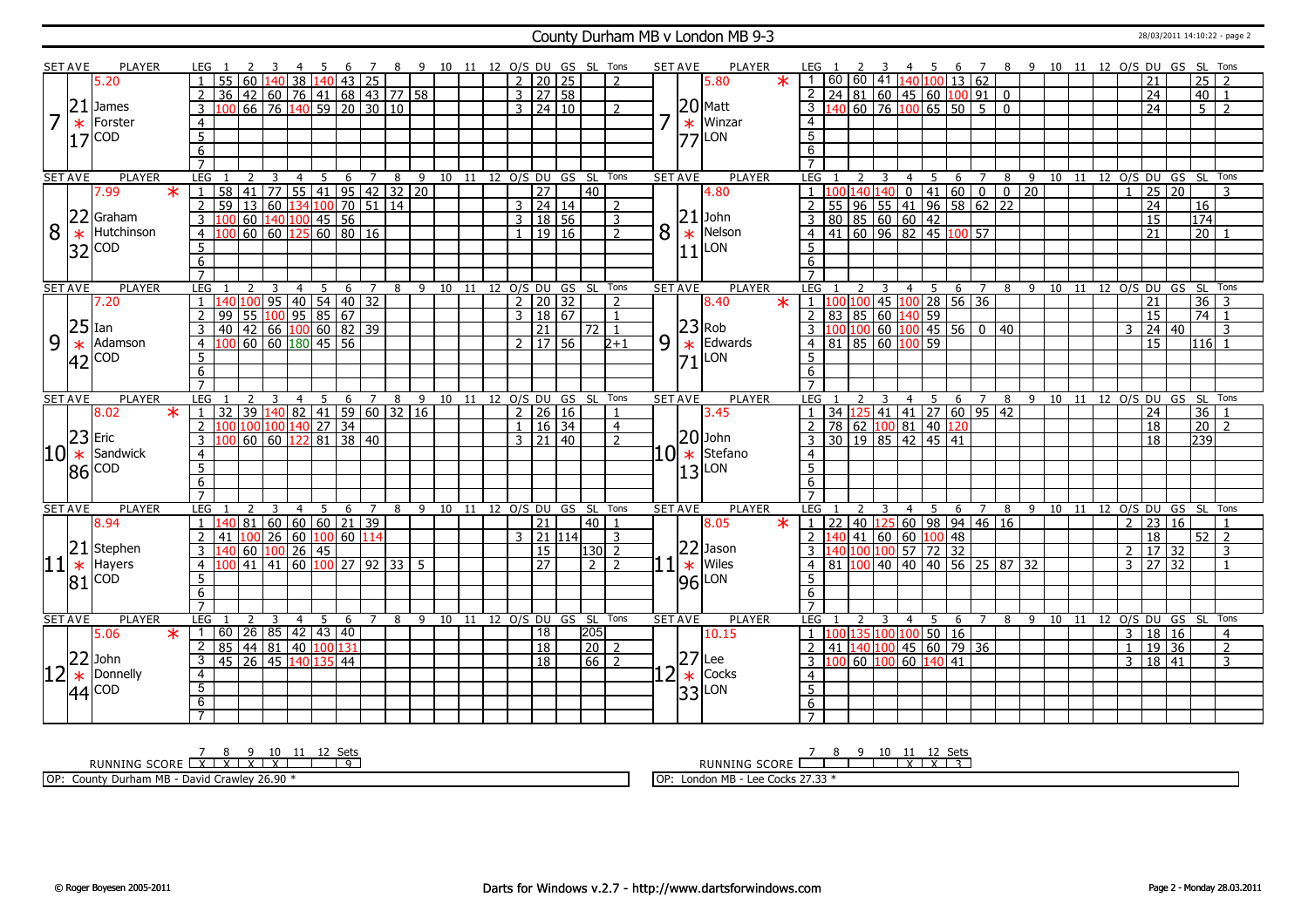### County Durham MB v London MB 9-3 28/03/2011 14:10:22 - page 2

|                | SET AVE                | PLAYER                         | LEG 1                                      | - 6                                                    | 7              | 89                                 |                              |  | 10 11 12 O/S DU GS SL Tons |       |                    |                |    | <b>SET AVE</b>    | PLAYER                                                                         | LEG 1                                                                |             | -4                                                                   | 5                                      |           |                |                |           |  |                | 6 7 8 9 10 11 12 O/S DU GS SL Tons |                  |                          |
|----------------|------------------------|--------------------------------|--------------------------------------------|--------------------------------------------------------|----------------|------------------------------------|------------------------------|--|----------------------------|-------|--------------------|----------------|----|-------------------|--------------------------------------------------------------------------------|----------------------------------------------------------------------|-------------|----------------------------------------------------------------------|----------------------------------------|-----------|----------------|----------------|-----------|--|----------------|------------------------------------|------------------|--------------------------|
|                |                        | 5.20                           | $\overline{55}$<br>60                      | $140$ 43 25<br> 140 38                                 |                |                                    |                              |  | $\frac{1}{2}$   20   25    |       |                    | $\overline{2}$ |    |                   | 5.80<br>$\ast$                                                                 | $\mathbf{1}$                                                         |             | 60 60 41 140 100 13 62                                               |                                        |           |                |                |           |  |                | 21                                 | $\overline{25}$  | $\overline{2}$           |
|                |                        |                                | $\overline{2}$<br>36                       | 42   60   76   41   68   43   77   58                  |                |                                    |                              |  | $3 \mid 27 \mid 58$        |       |                    |                |    |                   |                                                                                | $2 \mid 24 \mid 81 \mid 60 \mid 45 \mid 60 \mid 100 \mid 91 \mid 0$  |             |                                                                      |                                        |           |                |                |           |  |                | 24                                 | 40               | $\overline{\phantom{0}}$ |
|                | 21                     | James                          | 66<br>$\overline{76}$<br>3<br>100          | 140<br>$59$ 20 30 10                                   |                |                                    |                              |  | 3   24   10                |       |                    | $\mathcal{D}$  |    |                   | $ 20 $ Matt                                                                    | 3                                                                    | $-40$ 60 76 | 10 <sub>0</sub>                                                      |                                        | $65$ 50 5 |                | $\overline{0}$ |           |  |                | $\overline{24}$                    | $5-1$            | $\overline{2}$           |
| $\overline{7}$ | $\ast$                 | Forster                        | $\overline{4}$                             |                                                        |                |                                    |                              |  |                            |       |                    |                |    | $\ast$            | Winzar                                                                         | $\overline{4}$                                                       |             |                                                                      |                                        |           |                |                |           |  |                |                                    |                  |                          |
|                |                        |                                | $\overline{5}$                             |                                                        |                |                                    |                              |  |                            |       |                    |                |    |                   |                                                                                | $\overline{5}$                                                       |             |                                                                      |                                        |           |                |                |           |  |                |                                    |                  |                          |
|                | 17                     | <b>COD</b>                     |                                            |                                                        |                |                                    |                              |  |                            |       |                    |                |    |                   | $ 77 $ LON                                                                     | $\overline{6}$                                                       |             |                                                                      |                                        |           |                |                |           |  |                |                                    |                  |                          |
|                |                        |                                | $\overline{6}$<br>$\overline{7}$           |                                                        |                |                                    |                              |  |                            |       |                    |                |    |                   |                                                                                | $\overline{7}$                                                       |             |                                                                      |                                        |           |                |                |           |  |                |                                    |                  |                          |
|                |                        |                                |                                            |                                                        |                |                                    |                              |  |                            |       |                    |                |    |                   |                                                                                |                                                                      |             |                                                                      |                                        |           |                |                |           |  |                |                                    |                  |                          |
|                | <b>SET AVE</b>         | PLAYER                         | LEG<br>$\overline{3}$                      | 5 6 7 8 9 10 11 12 O/S DU GS SL Tons<br>$\overline{4}$ |                |                                    |                              |  | $\overline{27}$            |       | $\overline{40}$    |                |    | <b>SET AVE</b>    | <b>PLAYER</b>                                                                  | LEG 1                                                                |             | $\overline{3}$<br>$\frac{1}{100}$ 140 140   0   41   60   0   0   20 | 4 5 6 7 8 9 10 11 12 O/S DU GS SL Tons |           |                |                |           |  | $\mathbf{1}$   | 25 20                              |                  | $\mathbf{3}$             |
|                |                        | 7.99<br>$\ast$                 | 58<br>$\mathbf{1}$                         | 41 77 55 41 95 42 32 20                                |                |                                    |                              |  |                            |       |                    |                |    |                   | 4.80                                                                           |                                                                      |             |                                                                      |                                        |           |                |                |           |  |                |                                    |                  |                          |
|                |                        |                                | $\overline{2}$<br>59                       | 13 60 134 100 70 51 14                                 |                |                                    |                              |  | 3   24   14                |       |                    | $\overline{z}$ |    |                   | $21$ John                                                                      | $\overline{2}$<br>55                                                 |             | $96 \mid 55 \mid 41 \mid 96 \mid 58 \mid 62 \mid 22$                 |                                        |           |                |                |           |  |                | 24                                 | 16               |                          |
|                |                        | $22$ Graham<br>$\ast$ Hutchins | $\overline{3}$                             | $60 \left  140 \right  100$ 45 56                      |                |                                    |                              |  | $3 \mid 18 \mid 56$        |       |                    | 3              |    |                   |                                                                                | 3                                                                    |             | 80 85 60 60 42<br>41 60 96 82 45 100 57                              |                                        |           |                |                |           |  |                | $\overline{15}$                    | $\overline{174}$ |                          |
| 8              |                        | Hutchinson                     | $\overline{4}$<br>ınnı                     | 60 60 125 60 80 16                                     |                |                                    |                              |  |                            | 19 16 |                    | 2              | 8  | $\overline{\ast}$ | Nelson                                                                         | $\overline{4}$                                                       |             |                                                                      |                                        |           |                |                |           |  |                | $\overline{21}$                    | $\overline{20}$  |                          |
|                |                        | 32 COD                         | $\overline{5}$                             |                                                        |                |                                    |                              |  |                            |       |                    |                |    | 11                | LON                                                                            | 5                                                                    |             |                                                                      |                                        |           |                |                |           |  |                |                                    |                  |                          |
|                |                        |                                | 6                                          |                                                        |                |                                    |                              |  |                            |       |                    |                |    |                   |                                                                                | 6                                                                    |             |                                                                      |                                        |           |                |                |           |  |                |                                    |                  |                          |
|                |                        |                                | $\overline{7}$                             |                                                        |                |                                    |                              |  |                            |       |                    |                |    |                   |                                                                                |                                                                      |             |                                                                      |                                        |           |                |                |           |  |                |                                    |                  |                          |
|                | <b>SET AVE</b>         | <b>PLAYER</b>                  | LEG<br>3                                   | $\overline{4}$<br>5<br>6                               | $\overline{7}$ | 8 9 10 11 12 0/S DU GS SL Tons     |                              |  |                            |       |                    |                |    | <b>SET AVE</b>    | <b>PLAYER</b>                                                                  | LEG                                                                  |             | 3                                                                    | 4 5                                    | 6 7       |                |                |           |  |                | 8 9 10 11 12 0/S DU GS SL Tons     |                  |                          |
|                |                        | 7.20                           |                                            | 100 95 40 54 40 32                                     |                |                                    |                              |  | $2 \mid 20 \mid 32$        |       |                    | $\overline{z}$ |    |                   | 8.40<br>$\ast$                                                                 |                                                                      |             | 45 100                                                               |                                        | 28 56 36  |                |                |           |  |                | 21                                 | 36               | $\overline{3}$           |
|                |                        |                                | 99<br>2                                    | 55 100 95 85 67                                        |                |                                    |                              |  | 3   18   67                |       |                    | $\overline{1}$ |    |                   |                                                                                | 2 83 85 60 140 59<br>3 100 100 60 100 45 56 0 40                     |             |                                                                      |                                        |           |                |                |           |  |                | 15                                 | 74               | $\overline{1}$           |
|                | $25$ Ian               |                                | 40<br>3                                    | $\frac{39}{142}$ 66 100 60 82 39<br>60 60 180 45 56    |                |                                    |                              |  | 21                         |       | $72$ 1             |                |    |                   | $ 23 $ Rob                                                                     |                                                                      |             |                                                                      |                                        |           |                |                |           |  | $\mathbf{3}$   | $24 \mid 40$                       |                  | 3                        |
| 9              | $\ast$                 | Adamson                        | 100<br>$\overline{4}$                      |                                                        |                |                                    |                              |  | 2   17   56                |       |                    | $2+1$          | 9  | $\ast$            | Edwards                                                                        | $\frac{1}{4}$ 81 85 60 100 59                                        |             |                                                                      |                                        |           |                |                |           |  |                | $\overline{15}$                    |                  | $116$ 1                  |
|                |                        | 42 COD                         | 5                                          |                                                        |                |                                    |                              |  |                            |       |                    |                |    | 71                | LON                                                                            | $5^{\circ}$                                                          |             |                                                                      |                                        |           |                |                |           |  |                |                                    |                  |                          |
|                |                        |                                | 6                                          |                                                        |                |                                    |                              |  |                            |       |                    |                |    |                   |                                                                                | 6                                                                    |             |                                                                      |                                        |           |                |                |           |  |                |                                    |                  |                          |
|                |                        |                                | $\overline{7}$                             |                                                        |                |                                    |                              |  |                            |       |                    |                |    |                   |                                                                                | $\overline{7}$                                                       |             |                                                                      |                                        |           |                |                |           |  |                |                                    |                  |                          |
|                | <b>SET AVE</b>         | <b>PLAYER</b>                  | LEG<br>3                                   | $\overline{5}$<br>$\overline{4}$                       |                | 6 7 8 9 10 11 12 0/S DU GS SL Tons |                              |  |                            |       |                    |                |    | <b>SET AVE</b>    | <b>PLAYER</b>                                                                  | LEG 1                                                                |             | 3                                                                    | 4 5 6 7 8 9 10 11 12 0/S DU GS SL Tons |           |                |                |           |  |                |                                    |                  |                          |
|                |                        | $\ast$<br>8.02                 | 32<br>$\mathbf{1}$                         | 39 140 82 41 59 60 32 16                               |                |                                    |                              |  | $2 \mid 26 \mid 16$        |       |                    | $\overline{1}$ |    |                   | 3.45                                                                           | $\overline{1}$                                                       |             | 34 125 41 41 27 60 95 42                                             |                                        |           |                |                |           |  |                | 24                                 | 36               | $\overline{1}$           |
|                |                        |                                | 100 100 100 140 27<br>$\overline{2}$       | $\overline{34}$                                        |                |                                    |                              |  | 1   16   34                |       |                    | $\overline{4}$ |    |                   |                                                                                | 2                                                                    |             | 78 62 100 81                                                         | 40                                     | 120       |                |                |           |  |                | 18                                 | $\overline{20}$  | $\overline{2}$           |
|                | $23$ Eric              |                                | $\overline{3}$                             | 100 60 60 122 81 38 40                                 |                |                                    |                              |  | $3 \mid 21 \mid 40$        |       |                    | $\overline{2}$ |    |                   | $ 20 $ John                                                                    | $\mathbf{3}$                                                         |             | $30 \mid 19 \mid 85 \mid 42 \mid 45 \mid 41$                         |                                        |           |                |                |           |  |                | 18                                 | 239              |                          |
| 10             | $\ast$                 | Sandwick                       | $\overline{4}$                             |                                                        |                |                                    |                              |  |                            |       |                    |                | 10 | $\ast$            | Stefano                                                                        | $\overline{4}$                                                       |             |                                                                      |                                        |           |                |                |           |  |                |                                    |                  |                          |
|                |                        | 86 COD                         | $\overline{5}$                             |                                                        |                |                                    |                              |  |                            |       |                    |                |    | 13                | LON                                                                            | $\overline{5}$                                                       |             |                                                                      |                                        |           |                |                |           |  |                |                                    |                  |                          |
|                |                        |                                | $6 \overline{6}$                           |                                                        |                |                                    |                              |  |                            |       |                    |                |    |                   |                                                                                | 6                                                                    |             |                                                                      |                                        |           |                |                |           |  |                |                                    |                  |                          |
|                |                        |                                | $\overline{7}$                             |                                                        |                |                                    |                              |  |                            |       |                    |                |    |                   |                                                                                | $\overline{7}$                                                       |             |                                                                      |                                        |           |                |                |           |  |                |                                    |                  |                          |
|                | <b>SET AVE</b>         | <b>PLAYER</b>                  | LEG                                        | 6                                                      | $\overline{7}$ | 8                                  | 9 10 11 12 O/S DU GS SL Tons |  |                            |       |                    |                |    | <b>SET AVE</b>    | <b>PLAYER</b>                                                                  | LEG                                                                  |             |                                                                      | 4 5                                    |           |                |                |           |  |                | 6 7 8 9 10 11 12 0/S DU GS SL Tons |                  |                          |
|                |                        | 8.94                           | $\mathbf{1}$                               | 81 60 60 60 21 39                                      |                |                                    |                              |  | 21                         |       | $40$   1           |                |    |                   | 8.05<br>$\ast$                                                                 | $1 \mid 22 \mid 40 \mid 125 \mid 60 \mid 98 \mid 94 \mid 46 \mid 16$ |             |                                                                      |                                        |           |                |                |           |  |                | $2 \mid 23 \mid 16$                |                  | $\overline{1}$           |
|                |                        |                                | 100 26 60<br>$\overline{2}$                | 100 60 114                                             |                |                                    |                              |  | $3 \mid 21 \mid 114$       |       |                    | 3              |    |                   |                                                                                | 2 <sup>1</sup>                                                       |             | 41 60 60                                                             | 100 48                                 |           |                |                |           |  |                | 18                                 | 52               | $\overline{z}$           |
|                | $\overline{21}$        | Stephen                        | 60                                         | $100$ 26<br>45                                         |                |                                    |                              |  | 15                         |       | $130$   2          |                |    |                   |                                                                                |                                                                      | 00100       |                                                                      | $57$ 72 32                             |           |                |                |           |  | $\overline{2}$ | 32<br>17                           |                  | 3                        |
|                | $11$ $\overline{\ast}$ | Hayers                         | $\overline{4}$<br>41<br>$ 41\rangle$<br>۱M | 60   100   27   92   33   5                            |                |                                    |                              |  | $\overline{27}$            |       | 2 I                | $\overline{z}$ |    |                   | $\begin{array}{ c c }\n 22 \text{Jason} \\  \times \text{Wiles}\n \end{array}$ | 4<br>81                                                              | 1100        | 40                                                                   | 40 40 56 25 87 32                      |           |                |                |           |  | $\overline{3}$ | 27  <br>32                         |                  | $\overline{1}$           |
|                | 81                     | <b>COD</b>                     | 5                                          |                                                        |                |                                    |                              |  |                            |       |                    |                |    | 96                | LON                                                                            | .5.                                                                  |             |                                                                      |                                        |           |                |                |           |  |                |                                    |                  |                          |
|                |                        |                                | 6                                          |                                                        |                |                                    |                              |  |                            |       |                    |                |    |                   |                                                                                | 6                                                                    |             |                                                                      |                                        |           |                |                |           |  |                |                                    |                  |                          |
|                |                        |                                | $\overline{7}$                             |                                                        |                |                                    |                              |  |                            |       |                    |                |    |                   |                                                                                | $\overline{7}$                                                       |             |                                                                      |                                        |           |                |                |           |  |                |                                    |                  |                          |
|                | <b>SET AVE</b>         | <b>PLAYER</b>                  | LEG<br>3                                   | 4<br>5<br>6                                            | $\overline{7}$ | 8                                  | 9 10 11 12 0/S DU GS SL Tons |  |                            |       |                    |                |    | <b>SET AVE</b>    | <b>PLAYER</b>                                                                  | LEG                                                                  |             | 3                                                                    | 5<br>4                                 | 6         | $\overline{7}$ |                | 8 9 10 11 |  |                | 12 O/S DU GS SL                    |                  | Tons                     |
|                |                        | $\ast$<br>5.06                 | 60<br>$\mathbf{1}$                         | $26 \ 85 \ 42 \ 43 \ 40$                               |                |                                    |                              |  | 18                         |       | 205                |                |    |                   | 10.15                                                                          | $1 \vert 1$                                                          |             | 00 135 100 100                                                       | $50 \mid 16$                           |           |                |                |           |  | $\mathbf{3}$   | 18 16                              |                  | $\overline{4}$           |
|                |                        |                                | $2^{\circ}$<br>85                          | 44 81 40 100 131                                       |                |                                    |                              |  | <b>18</b>                  |       | $\vert 20 \vert 2$ |                |    |                   |                                                                                | 2                                                                    |             | 41 140 100 45 60 79 36                                               |                                        |           |                |                |           |  | $\overline{1}$ | $19 \overline{)36}$                |                  | $\overline{2}$           |
|                |                        | $ 22 $ John                    | 3                                          | 45 26 45 140 135 44                                    |                |                                    |                              |  | $\overline{18}$            |       | 66 2               |                |    | 27                | Lee                                                                            | 3                                                                    | 100 60 100  |                                                                      | $60$ 140 41                            |           |                |                |           |  | 3              | 18 41                              |                  | 3                        |
|                |                        |                                | $\overline{4}$                             |                                                        |                |                                    |                              |  |                            |       |                    |                |    |                   | $12$ $\star$   Cocks                                                           | $\overline{4}$                                                       |             |                                                                      |                                        |           |                |                |           |  |                |                                    |                  |                          |
|                |                        | Donnelly                       |                                            |                                                        |                |                                    |                              |  |                            |       |                    |                |    |                   |                                                                                |                                                                      |             |                                                                      |                                        |           |                |                |           |  |                |                                    |                  |                          |
|                | $12 \times$            |                                | $\overline{5}$                             |                                                        |                |                                    |                              |  |                            |       |                    |                |    |                   |                                                                                | $\overline{5}$                                                       |             |                                                                      |                                        |           |                |                |           |  |                |                                    |                  |                          |
|                |                        | 44 COD                         | 6                                          |                                                        |                |                                    |                              |  |                            |       |                    |                |    |                   | $ 33 $ LON                                                                     | $6\overline{}$                                                       |             |                                                                      |                                        |           |                |                |           |  |                |                                    |                  |                          |
|                |                        |                                | $\overline{7}$                             |                                                        |                |                                    |                              |  |                            |       |                    |                |    |                   |                                                                                | $\overline{7}$                                                       |             |                                                                      |                                        |           |                |                |           |  |                |                                    |                  |                          |

RUNNING SCORE 7 X 8 X 9 X 10 X 11 12 Sets 9

OP: County Durham MB - David Crawley 26.90 \*

RUNNING SCORE 7 8 9 10 11 X 12 X Sets 3

OP: London MB - Lee Cocks 27.33 \*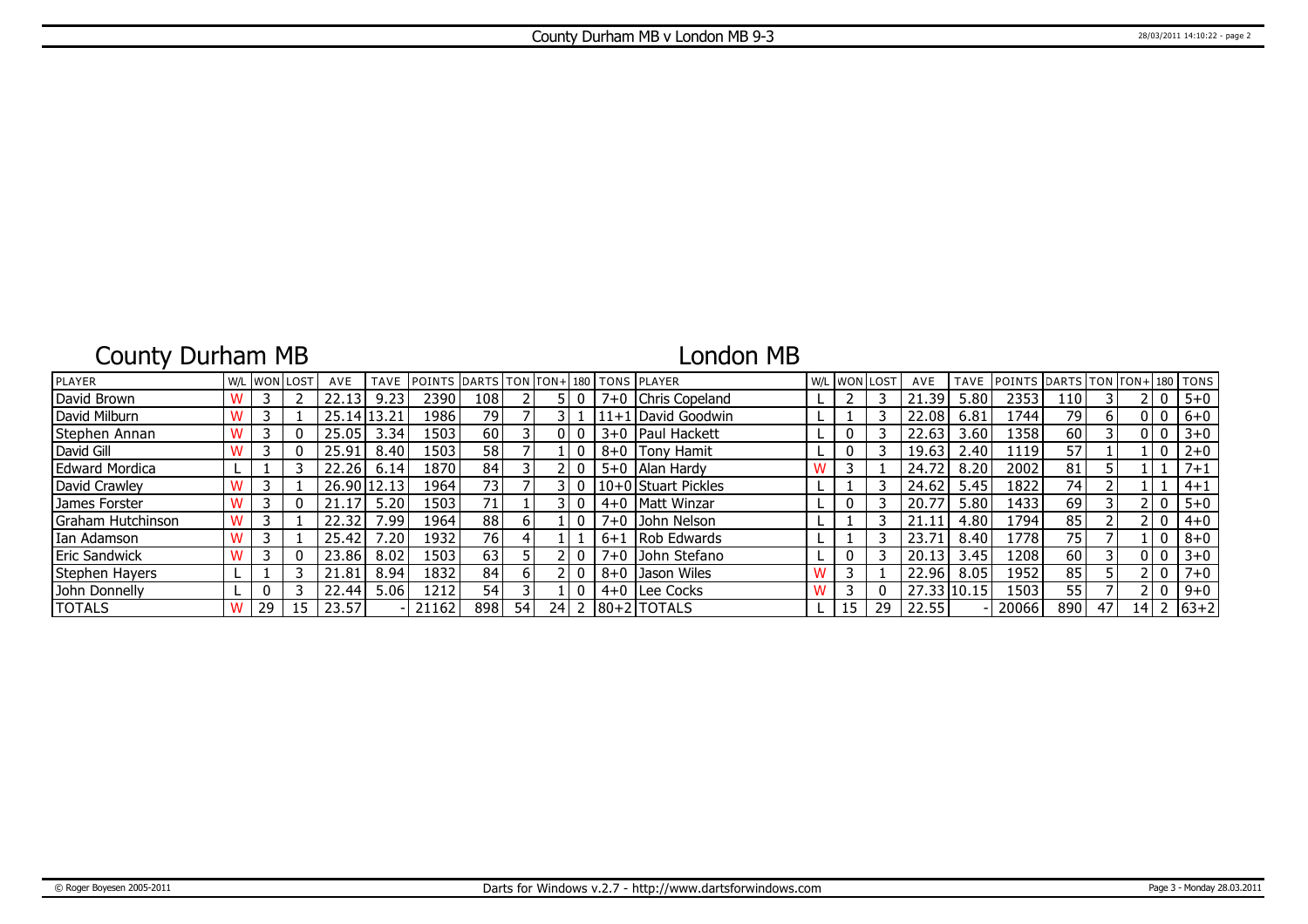# County Durham MB

## London MB

| PLAYER              | W/L |    | . IwonIlost | AVE     | <b>TAVE</b> | <b>IPOINTS DARTS TON FON+1180 TONS PLAYER</b> |                 |    |    |   |         |                     | W/L WON LOST |    | AVE   | <b>TAVE</b> | <b>POINTS DARTS TON FON+180 FONS</b> |     |    |                 |          |         |
|---------------------|-----|----|-------------|---------|-------------|-----------------------------------------------|-----------------|----|----|---|---------|---------------------|--------------|----|-------|-------------|--------------------------------------|-----|----|-----------------|----------|---------|
| David Brown         |     |    |             | 22.13   | 9.23        | 2390                                          | 108             |    |    | 0 | $7+0$   | Chris Copeland      |              |    | 21.39 | 5.80        | 2353                                 | 110 |    |                 | 0        | $5 + 0$ |
| David Milburn       |     |    |             | 25.14 l | 13.21       | 1986                                          | 79              |    |    |   |         | 11+1 David Goodwin  |              |    | 22.08 | 6.81        | 1744                                 | 79  | b  |                 | 0        | $6 + 0$ |
| Stephen Annan       |     |    |             | 25.05   | 3.34        | 1503                                          | 60              |    |    |   |         | 3+0   Paul Hackett  | 0            |    | 22.63 | 3.60        | 1358                                 | 60  |    |                 | 0        | $3 + 0$ |
| David Gill          |     |    |             | 25.91   | 8.40        | 1503                                          | 58              |    |    | 0 | $8 + 0$ | Tony Hamit          |              |    | 19.63 | 2.40        | 1119                                 | 57  |    |                 | 0        | $2 + 0$ |
| Edward Mordica      |     |    |             | 22.26   | 6.14        | 1870                                          | 84              |    |    |   | $5 + 0$ | Alan Hardy          |              |    | 24.72 | 8.20        | 2002                                 | 81  |    |                 |          | $7 + 1$ |
| David Crawley       |     |    |             | 26.90   | 12.13       | 1964                                          | 73 <sub>1</sub> |    |    | 0 |         | 10+0 Stuart Pickles |              |    | 24.62 | 5.45        | 1822                                 | 74  |    |                 |          | $4 + 1$ |
| James Forster       |     |    |             | 21.17   | 5.20        | 1503                                          | 71 <sub>1</sub> |    |    | 0 |         | 4+0   Matt Winzar   |              |    | 20.77 | 5.80        | 1433                                 | 69  |    |                 | 0        | $5 + 0$ |
| l Graham Hutchinson |     |    |             | 22.32   | 7.99        | 1964                                          | 88              | b. |    | 0 | $7 + 0$ | John Nelson         |              |    | 21.11 | 4.80        | 1794                                 | 85  |    |                 | $\Omega$ | $4 + 0$ |
| Ian Adamson         |     |    |             | 25.42   | '.20        | 1932                                          | 76 I            |    |    |   | $6 + 1$ | <b>IRob Edwards</b> |              |    | 23.71 | 8.40        | 1778                                 | 75  |    |                 | 0        | $8 + 0$ |
| Eric Sandwick       |     |    |             | 23.86   | 8.02        | 1503                                          | 63              |    |    |   | $7 + 0$ | John Stefano        |              |    | 20.13 | 3.45        | 1208                                 | 60  |    |                 | 0        | $3 + 0$ |
| Stephen Hayers      |     |    |             | 21.81   | 8.94        | 1832                                          | 84              | h  |    |   | $8 + 0$ | <b>Jason Wiles</b>  |              |    | 22.96 | 8.05        | 1952                                 | 85  |    |                 | 0        | $7 + 0$ |
| John Donnelly       |     |    |             | 22.44   | 5.06        | 1212                                          | 54              |    |    |   | $4 + 0$ | Lee Cocks           |              |    | 27.33 | 10.15       | 1503                                 | 55  |    |                 | 0        | $9 + 0$ |
| <b>TOTALS</b>       |     | 29 |             | 23.57   |             | 21162                                         | 898             | 54 | 24 |   |         | 180+21TOTALS        | 15           | 29 | 22.55 |             | 20066                                | 890 | 47 | 14 <sub>1</sub> |          | $63+2$  |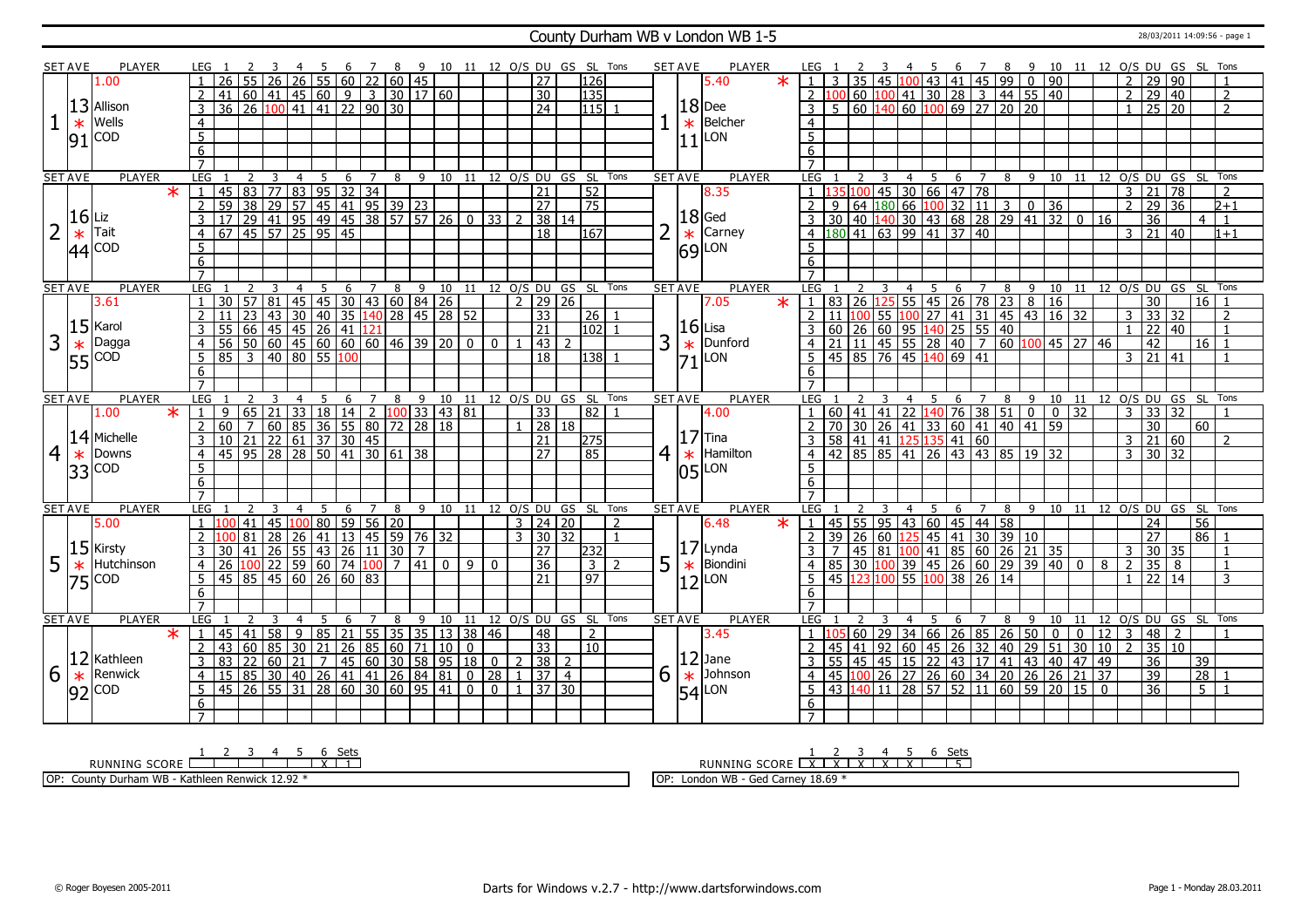### County Durham WB v London WB 1-5 28/03/2011 14:09:56 - page 1

|                | SET AVE         | <b>PLAYER</b>         |         | LEG 1               |                                                                                                                                                                                                   |                         | 4 5            |                             |    |                     |    | 6 7 8 9 10 11 12 0/S DU GS SL Tons |                |                |                                |                         |                   |   | SET AVE        | PLAYER                    | LEG 1                   |       |           |                         |                |                                                                                                                             |   |                  |   |                                                                                               |                 |                 |                |                         |                         |                                        |                          |
|----------------|-----------------|-----------------------|---------|---------------------|---------------------------------------------------------------------------------------------------------------------------------------------------------------------------------------------------|-------------------------|----------------|-----------------------------|----|---------------------|----|------------------------------------|----------------|----------------|--------------------------------|-------------------------|-------------------|---|----------------|---------------------------|-------------------------|-------|-----------|-------------------------|----------------|-----------------------------------------------------------------------------------------------------------------------------|---|------------------|---|-----------------------------------------------------------------------------------------------|-----------------|-----------------|----------------|-------------------------|-------------------------|----------------------------------------|--------------------------|
|                |                 | 1.00                  |         |                     | $\overline{26}$                                                                                                                                                                                   | $\overline{26}$         |                |                             |    | $26$ 55 60 22 60 45 |    |                                    |                |                | $\overline{27}$                | 126                     |                   |   |                | $\ast$<br>5.40            |                         |       |           |                         |                |                                                                                                                             |   |                  |   |                                                                                               |                 |                 |                |                         |                         |                                        |                          |
|                |                 |                       |         | $\overline{2}$      |                                                                                                                                                                                                   |                         |                |                             |    |                     |    |                                    |                |                | $\overline{30}$                | 135                     |                   |   |                |                           |                         | 2 100 |           |                         |                |                                                                                                                             |   |                  |   |                                                                                               |                 |                 |                |                         |                         |                                        |                          |
|                |                 | 13 Allison            |         | $\overline{3}$      | $\frac{1}{36}$ $\frac{1}{26}$ $\frac{1}{36}$ $\frac{1}{26}$ $\frac{1}{100}$ $\frac{1}{41}$ $\frac{1}{45}$ $\frac{1}{60}$ $\frac{1}{9}$ $\frac{1}{3}$ $\frac{1}{30}$ $\frac{1}{17}$ $\frac{1}{60}$ |                         |                |                             |    |                     |    |                                    |                |                | $\overline{24}$                | 115                     |                   |   |                | $ 18 $ Dee                |                         |       |           |                         |                |                                                                                                                             |   |                  |   |                                                                                               |                 |                 |                |                         |                         |                                        |                          |
|                |                 | Wells                 |         |                     |                                                                                                                                                                                                   |                         |                |                             |    |                     |    |                                    |                |                |                                |                         |                   |   |                | Belcher                   | $\overline{4}$          |       |           |                         |                |                                                                                                                             |   |                  |   |                                                                                               |                 |                 |                |                         |                         |                                        |                          |
|                | $\ast$          |                       |         | $\overline{4}$      |                                                                                                                                                                                                   |                         |                |                             |    |                     |    |                                    |                |                |                                |                         |                   |   | $\ast$         |                           |                         |       |           |                         |                |                                                                                                                             |   |                  |   |                                                                                               |                 |                 |                |                         |                         |                                        |                          |
|                | 91              | <b>COD</b>            |         | $\overline{5}$      |                                                                                                                                                                                                   |                         |                |                             |    |                     |    |                                    |                |                |                                |                         |                   |   | 11             | LON                       | $\overline{5}$          |       |           |                         |                |                                                                                                                             |   |                  |   |                                                                                               |                 |                 |                |                         |                         |                                        |                          |
|                |                 |                       |         | 6                   |                                                                                                                                                                                                   |                         |                |                             |    |                     |    |                                    |                |                |                                |                         |                   |   |                |                           | 6                       |       |           |                         |                |                                                                                                                             |   |                  |   |                                                                                               |                 |                 |                |                         |                         |                                        |                          |
|                |                 |                       |         | $\overline{7}$      |                                                                                                                                                                                                   |                         |                |                             |    |                     |    |                                    |                |                |                                |                         |                   |   |                |                           |                         |       |           |                         |                |                                                                                                                             |   |                  |   |                                                                                               |                 |                 |                |                         |                         |                                        |                          |
|                | <b>SET AVE</b>  | <b>PLAYER</b>         |         | LEG                 | $\overline{2}$                                                                                                                                                                                    | $\overline{\mathbf{3}}$ | $\overline{4}$ | $-5$                        |    |                     |    | 6 7 8 9 10 11 12 0/S DU GS SL Tons |                |                |                                |                         |                   |   | <b>SET AVE</b> | <b>PLAYER</b>             | LEG 1                   |       | 2         | $\overline{\mathbf{3}}$ |                |                                                                                                                             |   |                  |   |                                                                                               |                 |                 |                |                         |                         | 4 5 6 7 8 9 10 11 12 O/S DU GS SL Tons |                          |
|                |                 |                       | $\star$ |                     | 1   45   83   77   83   95   32   34                                                                                                                                                              |                         |                |                             |    |                     |    |                                    |                |                | $\overline{21}$                | $\overline{52}$         |                   |   |                | 8.35                      |                         |       |           |                         |                | <u>  35    100    45    30    66    47    78   </u>                                                                         |   |                  |   |                                                                                               |                 |                 |                | $3 \mid 21 \mid 78$     |                         |                                        | $\overline{2}$           |
|                |                 |                       |         | $\overline{2}$      |                                                                                                                                                                                                   |                         |                |                             |    |                     |    |                                    |                |                | 27                             | $\overline{75}$         |                   |   |                |                           |                         | 9     |           |                         |                | 64 $\boxed{180}$ 66 $\boxed{100}$ 32 $\boxed{11}$ 3 0 36                                                                    |   |                  |   |                                                                                               |                 |                 |                | 2 29                    | 36                      |                                        | $2 + 1$                  |
|                | $16$ Liz        |                       |         | $\overline{3}$      | 1 59 38 29 57 45 41 95 39 23<br>17 29 41 95 49 45 38 57 57 26 0 33<br>67 45 57 25 95 45                                                                                                           |                         |                |                             |    |                     |    |                                    |                |                | 38 14                          |                         |                   |   |                | $18$ Ged                  | 3                       |       |           |                         |                | 30 40 140 30 43 68 28 29 41 32 0                                                                                            |   |                  |   |                                                                                               |                 | 16              |                | $\overline{36}$         |                         | $\overline{4}$                         | $\overline{1}$           |
| $\overline{2}$ | $\ast$          | Tait                  |         | $\overline{4}$      |                                                                                                                                                                                                   |                         |                |                             |    |                     |    |                                    |                |                | 18                             | 167                     |                   |   | $\ast$         | Carney                    |                         |       |           |                         |                | 180 41 63 99 41 37 40                                                                                                       |   |                  |   |                                                                                               |                 |                 |                |                         | $3 \mid 21 \mid 40$     |                                        | $1 + 1$                  |
|                |                 | $ 44 ^{COD}$          |         | $5\overline{)}$     |                                                                                                                                                                                                   |                         |                |                             |    |                     |    |                                    |                |                |                                |                         |                   |   | 69             | LON                       | 5                       |       |           |                         |                |                                                                                                                             |   |                  |   |                                                                                               |                 |                 |                |                         |                         |                                        |                          |
|                |                 |                       |         | 6                   |                                                                                                                                                                                                   |                         |                |                             |    |                     |    |                                    |                |                |                                |                         |                   |   |                |                           | 6                       |       |           |                         |                |                                                                                                                             |   |                  |   |                                                                                               |                 |                 |                |                         |                         |                                        |                          |
|                |                 |                       |         | $\overline{7}$      |                                                                                                                                                                                                   |                         |                |                             |    |                     |    |                                    |                |                |                                |                         |                   |   |                |                           | $\overline{7}$          |       |           |                         |                |                                                                                                                             |   |                  |   |                                                                                               |                 |                 |                |                         |                         |                                        |                          |
|                | <b>SET AVE</b>  | <b>PLAYER</b>         |         | <b>LEG</b>          | $\mathcal{L}$                                                                                                                                                                                     |                         | $\overline{4}$ | 5                           | 6  |                     |    | 7 8 9 10 11 12 0/S DU GS SL Tons   |                |                |                                |                         |                   |   | <b>SET AVE</b> | <b>PLAYER</b>             | LEG <sub>1</sub>        |       |           | 3                       | $\overline{4}$ | - 5                                                                                                                         | 6 | $7 \overline{8}$ |   |                                                                                               |                 |                 |                |                         | 9 10 11 12 0/S DU GS SL |                                        | Tons                     |
|                |                 | 3.61                  |         | -1                  | 30                                                                                                                                                                                                | 57 81                   |                |                             |    |                     |    | 45 45 30 43 60 84 26               |                |                | $2 \mid 29 \mid 26$            |                         |                   |   |                | $\overline{\ast}$<br>7.05 | $\mathbf{1}$            |       | 83 26 125 |                         |                | $55 \mid 45 \mid 26 \mid 78 \mid 23 \mid 8$                                                                                 |   |                  |   | $\overline{16}$                                                                               |                 |                 |                | $\overline{30}$         |                         | 16 <sup>1</sup>                        |                          |
|                |                 |                       |         | 2                   | 11 23 43 30 40 35 140 28 45 28 52<br>55 66 45 45 26 41 121<br>56 50 60 45 60 60 60 46 39 20 0<br>85 3 40 80 55 100                                                                                |                         |                |                             |    |                     |    |                                    |                |                | $\overline{33}$                | 26   1                  |                   |   |                |                           |                         |       |           |                         |                |                                                                                                                             |   |                  |   |                                                                                               |                 |                 | 3              | $\overline{33}$         | 32                      |                                        | $\overline{2}$           |
|                |                 | $15$ <sup>Karol</sup> |         |                     |                                                                                                                                                                                                   |                         |                |                             |    |                     |    |                                    |                |                |                                |                         |                   |   | $ 16 $ Lisa    |                           | $\overline{2}$          |       |           |                         |                | 11 100 55 100 27 41 31 45 43 16 32<br>60 26 60 95 140 25 55 40<br>21 11 45 55 28 40 7 60 100 45 27<br>45 85 76 45 140 69 41 |   |                  |   |                                                                                               |                 |                 |                |                         |                         |                                        | $\overline{1}$           |
|                |                 |                       |         | $\overline{3}$      |                                                                                                                                                                                                   |                         |                |                             |    |                     |    |                                    |                |                | $\overline{21}$                | $102$ 1                 |                   |   |                |                           |                         |       |           |                         |                |                                                                                                                             |   |                  |   |                                                                                               |                 |                 |                | $1 \ 22 \ 40$           |                         |                                        |                          |
| 3              | $\overline{55}$ | Dagga                 |         | $\overline{4}$      |                                                                                                                                                                                                   |                         |                |                             |    |                     |    |                                    |                | $\Omega$       | $\sqrt{43}$ 2                  |                         |                   | 3 | $\vert_{71}^*$ | Dunford                   |                         |       |           |                         |                |                                                                                                                             |   |                  |   |                                                                                               |                 | 46              |                | 42                      |                         | 16                                     |                          |
|                |                 | <b>COD</b>            |         | $\overline{5}$      |                                                                                                                                                                                                   |                         |                |                             |    |                     |    |                                    |                |                | $\overline{18}$                | 138                     |                   |   |                | LON                       |                         |       |           |                         |                |                                                                                                                             |   |                  |   |                                                                                               |                 |                 |                | $3 \mid 21 \mid 41$     |                         |                                        |                          |
|                |                 |                       |         | 6                   |                                                                                                                                                                                                   |                         |                |                             |    |                     |    |                                    |                |                |                                |                         |                   |   |                |                           | 6                       |       |           |                         |                |                                                                                                                             |   |                  |   |                                                                                               |                 |                 |                |                         |                         |                                        |                          |
|                |                 |                       |         | $\overline{7}$      |                                                                                                                                                                                                   |                         |                |                             |    |                     |    |                                    |                |                |                                |                         |                   |   |                |                           |                         |       |           |                         |                |                                                                                                                             |   |                  |   |                                                                                               |                 |                 |                |                         |                         |                                        |                          |
|                | <b>SET AVE</b>  | <b>PLAYER</b>         |         | LEG                 |                                                                                                                                                                                                   |                         | 4              |                             | 6  |                     | 8  | 9 10 11 12 O/S DU GS SL Tons       |                |                |                                |                         |                   |   | <b>SET AVE</b> | <b>PLAYER</b>             | LEG                     |       |           |                         | 4              | - 5                                                                                                                         | 6 | $\overline{7}$   |   |                                                                                               |                 |                 |                |                         |                         | 8 9 10 11 12 0/S DU GS SL Tons         |                          |
|                |                 | 1.00                  | $\ast$  | $\vert 1 \vert$     | 9                                                                                                                                                                                                 | 65 21                   |                | $33 \mid 18 \mid 14 \mid 2$ |    |                     |    | $100$ 33 43 81                     |                |                | 33                             | 82                      |                   |   |                | 4.00                      |                         |       | 60 41 41  |                         |                | $\left  22 \right  140 \left  76 \right  38 \left  51 \right  0$                                                            |   |                  |   | $\overline{0}$                                                                                | 32              |                 |                |                         | $3 \mid 33 \mid 32$     |                                        |                          |
|                |                 |                       |         |                     |                                                                                                                                                                                                   |                         |                |                             |    |                     |    |                                    |                |                |                                |                         |                   |   |                |                           |                         |       |           |                         |                |                                                                                                                             |   |                  |   |                                                                                               |                 |                 |                |                         |                         | 60                                     |                          |
|                |                 |                       |         | 2                   |                                                                                                                                                                                                   |                         |                |                             |    |                     |    |                                    |                |                | 28 18                          |                         |                   |   |                |                           |                         |       |           |                         |                |                                                                                                                             |   |                  |   |                                                                                               |                 |                 |                | $\overline{30}$         |                         |                                        |                          |
|                |                 | 14 Michelle           |         | $\overline{3}$      |                                                                                                                                                                                                   |                         |                |                             |    |                     |    |                                    |                |                | $\overline{21}$                | 275                     |                   |   |                | $ 17 $ Tina               |                         |       |           |                         |                |                                                                                                                             |   |                  |   |                                                                                               |                 |                 |                |                         | $3 \mid 21 \mid 60$     |                                        | $\overline{2}$           |
|                | $\ast$          | Downs                 |         | $\overline{4}$      |                                                                                                                                                                                                   |                         |                |                             |    |                     |    |                                    |                |                | 27                             | 85                      |                   |   | $\ast$         | Hamilton                  |                         |       |           |                         |                |                                                                                                                             |   |                  |   |                                                                                               |                 |                 |                | $3 \times 30 \times 32$ |                         |                                        |                          |
| 4              |                 | <b>COD</b>            |         | 5                   |                                                                                                                                                                                                   |                         |                |                             |    |                     |    |                                    |                |                |                                |                         |                   | 4 |                |                           | $5^{\circ}$             |       |           |                         |                |                                                                                                                             |   |                  |   | 2 70 30 26 41 33 60 41 40 41 59<br>3 58 41 41 125 35 41 60<br>4 42 85 85 41 26 43 43 85 19 32 |                 |                 |                |                         |                         |                                        |                          |
|                | 33              |                       |         | 6                   |                                                                                                                                                                                                   |                         |                |                             |    |                     |    |                                    |                |                |                                |                         |                   |   | l05l           | LON                       | $6\overline{6}$         |       |           |                         |                |                                                                                                                             |   |                  |   |                                                                                               |                 |                 |                |                         |                         |                                        |                          |
|                |                 |                       |         | $\overline{7}$      |                                                                                                                                                                                                   |                         |                |                             |    |                     |    |                                    |                |                |                                |                         |                   |   |                |                           | $\overline{7}$          |       |           |                         |                |                                                                                                                             |   |                  |   |                                                                                               |                 |                 |                |                         |                         |                                        |                          |
|                |                 | <b>PLAYER</b>         |         | <b>LEG</b>          | $\overline{2}$                                                                                                                                                                                    | $\overline{3}$          | $\overline{4}$ |                             |    |                     |    |                                    |                |                |                                |                         |                   |   |                | <b>PLAYER</b>             | LEG 1                   |       |           | $\overline{3}$          | $\overline{4}$ |                                                                                                                             |   |                  |   |                                                                                               |                 |                 |                |                         |                         |                                        |                          |
|                | <b>SET AVE</b>  |                       |         | 1 100               |                                                                                                                                                                                                   |                         |                | 5                           | 6  | $7\overline{ }$     | 8  | 9 10 11 12 0/S DU GS SL Tons       |                |                |                                |                         |                   |   | <b>SET AVE</b> |                           |                         |       |           |                         |                | $-5$                                                                                                                        | 6 |                  |   |                                                                                               |                 |                 |                |                         |                         | 7 8 9 10 11 12 O/S DU GS SL Tons       |                          |
|                |                 | 5.00                  |         |                     | $ 41\rangle$                                                                                                                                                                                      | 45 100 80 59 56 20      |                |                             |    |                     |    |                                    |                |                | $3 \mid 24 \mid 20$            |                         | 2<br>$\mathbf{1}$ |   |                | 6.48<br>$\star$           | $\sqrt{1}$              |       |           |                         |                | 45 55 95 43 60 45 44 58                                                                                                     |   |                  |   |                                                                                               |                 |                 |                | 24                      |                         | 56                                     |                          |
|                |                 |                       |         | 2                   | 81                                                                                                                                                                                                | 28                      | 26             |                             |    |                     |    | 41   13   45   59   76   32        |                |                | 3   30   32                    |                         |                   |   |                |                           |                         | 39    |           |                         |                |                                                                                                                             |   |                  |   |                                                                                               |                 |                 |                | 27                      |                         | 86                                     |                          |
|                |                 | $15$ Kirsty           |         | $\overline{3}$      | 41<br>30                                                                                                                                                                                          | $26$ 55 43 26 11        |                |                             |    |                     | 30 | 7                                  |                |                | 27                             | 232                     |                   |   |                | $17$ Lynda                |                         |       |           |                         |                | 26 60 125 45 41 30 39 10<br>45 81 100 41 85 60 26 21 35                                                                     |   |                  |   |                                                                                               |                 |                 | $\overline{3}$ |                         | 30 35                   |                                        |                          |
| 5              | $\ast$          | Hutchinson            |         | $\overline{4}$      | 26                                                                                                                                                                                                | $100$ 22 59 60 74 100   |                |                             |    |                     |    | 7 41 0 9                           |                | $\mathbf{0}$   | 36                             | $\overline{\mathbf{3}}$ | $\overline{2}$    | 5 | $\ast$         | Biondini                  |                         |       |           |                         |                |                                                                                                                             |   |                  |   |                                                                                               |                 | 8               | 2              | 35                      | 8                       |                                        | $\mathbf{1}$             |
|                | 75              | <b>COD</b>            |         | $5^{\circ}$         | 45 85 45 60 26 60 83                                                                                                                                                                              |                         |                |                             |    |                     |    |                                    |                |                | 21                             | $\overline{97}$         |                   |   | 12             | LON                       | .5.                     |       |           |                         |                | 85 30 100 39 45 26 60 29 39 40 0<br>45 123 100 55 100 38 26 14                                                              |   |                  |   |                                                                                               |                 |                 |                |                         | $1 \mid 22 \mid 14$     |                                        | 3                        |
|                |                 |                       |         | 6                   |                                                                                                                                                                                                   |                         |                |                             |    |                     |    |                                    |                |                |                                |                         |                   |   |                |                           | 6                       |       |           |                         |                |                                                                                                                             |   |                  |   |                                                                                               |                 |                 |                |                         |                         |                                        |                          |
|                |                 |                       |         | $\overline{7}$      |                                                                                                                                                                                                   |                         |                |                             |    |                     |    |                                    |                |                |                                |                         |                   |   |                |                           | $\overline{7}$          |       |           |                         |                |                                                                                                                             |   |                  |   |                                                                                               |                 |                 |                |                         |                         |                                        |                          |
|                | <b>SET AVE</b>  | PLAYER                |         | <b>LEG</b>          |                                                                                                                                                                                                   | 3                       | $\overline{4}$ | -5                          | -6 | 7                   | 8  | 9 10                               |                |                | 11 12 0/S DU GS SL             |                         | Tons              |   | <b>SET AVE</b> | <b>PLAYER</b>             | LEG 1                   |       |           |                         |                | .5.                                                                                                                         | 6 | 7                | 8 | 9 10 11                                                                                       |                 |                 |                |                         | 12 O/S DU GS SL         |                                        | Tons                     |
|                |                 |                       | $\star$ | $\vert 1 \vert$     | 45<br>41                                                                                                                                                                                          | 58                      | $\overline{9}$ | 85 21                       |    |                     |    | 55 35 35 13 38 46                  |                |                | 48                             | 2                       |                   |   |                | 3.45                      | -1 -1                   |       |           |                         |                |                                                                                                                             |   |                  |   | $\mathbf 0$                                                                                   | $\mathbf 0$     | 12              | l 3            | 48                      | $\sqrt{2}$              |                                        | $\overline{1}$           |
|                |                 |                       |         | 2                   | 43                                                                                                                                                                                                |                         |                |                             |    |                     |    |                                    | $\overline{0}$ |                | $\overline{33}$                | $\overline{10}$         |                   |   |                |                           | 2                       | 45    |           |                         |                |                                                                                                                             |   |                  |   | $\overline{51}$                                                                               | 30              | $\boxed{10}$ 2  |                |                         | 35 10                   |                                        |                          |
|                | 12              | Kathleen              |         | $\overline{3}$      |                                                                                                                                                                                                   |                         |                |                             |    |                     |    |                                    |                |                | $2 \mid 38 \mid 2$             |                         |                   |   |                | $ 12 $ Jane               | $\overline{\mathbf{3}}$ |       |           |                         |                | 60   29   34   66   26   85   26   50  <br>  41   92   60   45   26   32   40   29  <br>55 45 45 15 22 43 17 41 43 40 47 49 |   |                  |   |                                                                                               |                 |                 |                | $\overline{36}$         |                         | 39                                     |                          |
|                |                 | Renwick               |         | $\overline{4}$      |                                                                                                                                                                                                   |                         |                |                             |    |                     |    |                                    |                |                | $1 \overline{37} \overline{4}$ |                         |                   |   |                | Johnson                   | $\overline{4}$          |       |           |                         |                |                                                                                                                             |   |                  |   |                                                                                               | $\overline{21}$ | $\overline{37}$ |                | $\overline{39}$         |                         | $\overline{28}$                        | $\overline{\phantom{0}}$ |
| 6              | $\ast$          |                       |         | 5                   | 33 22 60 21 7 45 60 30 58 95 18 0<br>15 85 30 40 26 41 41 26 84 81 0 28                                                                                                                           |                         |                |                             |    |                     |    |                                    |                | $\overline{0}$ | $1 \mid 37 \mid 30$            |                         |                   | 6 | $\ast$         |                           | 5                       |       |           |                         |                | 45 100 26 27 26 60 34 20 26 26                                                                                              |   |                  |   |                                                                                               |                 |                 |                |                         |                         | $5\overline{11}$                       |                          |
|                | 92              | <b>COD</b>            |         |                     | 45 26 55 31 28 60 30 60 95 41 0                                                                                                                                                                   |                         |                |                             |    |                     |    |                                    |                |                |                                |                         |                   |   | 54             | LON                       |                         |       |           |                         |                | 43 140 11 28 57 52 11 60 59 20 15 0                                                                                         |   |                  |   |                                                                                               |                 |                 |                | $\overline{36}$         |                         |                                        |                          |
|                |                 |                       |         | 6<br>$\overline{7}$ |                                                                                                                                                                                                   |                         |                |                             |    |                     |    |                                    |                |                |                                |                         |                   |   |                |                           | 6                       |       |           |                         |                |                                                                                                                             |   |                  |   |                                                                                               |                 |                 |                |                         |                         |                                        |                          |

RUNNING SCORE 1 2 3 4 5 6 X Sets 1

OP: County Durham WB - Kathleen Renwick 12.92 \*